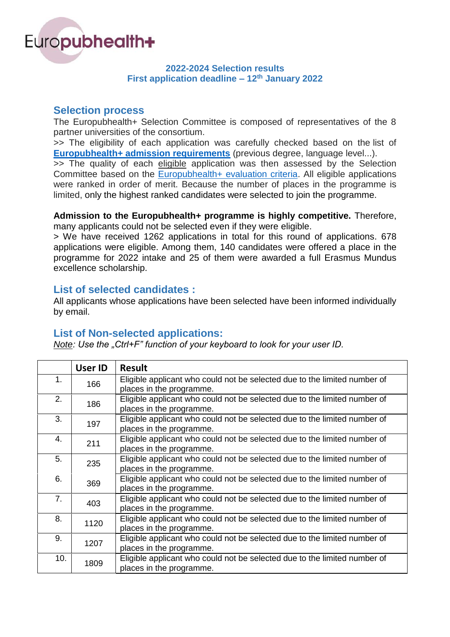

#### **2022-2024 Selection results First application deadline – 12 th January 2022**

### **Selection process**

The Europubhealth+ Selection Committee is composed of representatives of the 8 partner universities of the consortium.

>> The eligibility of each application was carefully checked based on the list of **[Europubhealth+ admission requirements](https://www.europubhealth.org/applications/admission-requirements)** (previous degree, language level...).

>> The quality of each eligible application was then assessed by the Selection Committee based on the [Europubhealth+ evaluation criteria.](https://www.europubhealth.org/applications/application-procedure) All eligible applications were ranked in order of merit. Because the number of places in the programme is limited, only the highest ranked candidates were selected to join the programme.

#### **Admission to the Europubhealth+ programme is highly competitive.** Therefore, many applicants could not be selected even if they were eligible.

> We have received 1262 applications in total for this round of applications. 678 applications were eligible. Among them, 140 candidates were offered a place in the programme for 2022 intake and 25 of them were awarded a full Erasmus Mundus excellence scholarship.

## **List of selected candidates :**

All applicants whose applications have been selected have been informed individually by email.

## **List of Non-selected applications:**

*Note: Use the "Ctrl+F" function of your keyboard to look for your user ID.* 

|                | <b>User ID</b> | <b>Result</b>                                                                                         |
|----------------|----------------|-------------------------------------------------------------------------------------------------------|
| 1.             | 166            | Eligible applicant who could not be selected due to the limited number of<br>places in the programme. |
| 2.             | 186            | Eligible applicant who could not be selected due to the limited number of<br>places in the programme. |
| 3.             | 197            | Eligible applicant who could not be selected due to the limited number of<br>places in the programme. |
| $\mathbf{4}$ . | 211            | Eligible applicant who could not be selected due to the limited number of<br>places in the programme. |
| 5.             | 235            | Eligible applicant who could not be selected due to the limited number of<br>places in the programme. |
| 6.             | 369            | Eligible applicant who could not be selected due to the limited number of<br>places in the programme. |
| 7.             | 403            | Eligible applicant who could not be selected due to the limited number of<br>places in the programme. |
| 8.             | 1120           | Eligible applicant who could not be selected due to the limited number of<br>places in the programme. |
| 9.             | 1207           | Eligible applicant who could not be selected due to the limited number of<br>places in the programme. |
| 10.            | 1809           | Eligible applicant who could not be selected due to the limited number of<br>places in the programme. |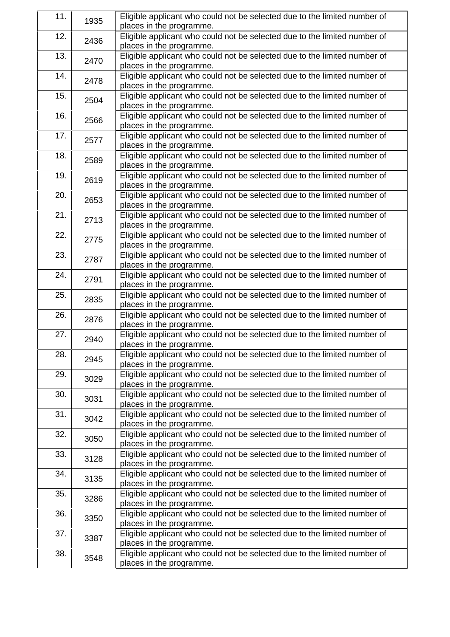| 11. | 1935 | Eligible applicant who could not be selected due to the limited number of<br>places in the programme. |
|-----|------|-------------------------------------------------------------------------------------------------------|
| 12. | 2436 | Eligible applicant who could not be selected due to the limited number of<br>places in the programme. |
| 13. | 2470 | Eligible applicant who could not be selected due to the limited number of<br>places in the programme. |
| 14. | 2478 | Eligible applicant who could not be selected due to the limited number of<br>places in the programme. |
| 15. | 2504 | Eligible applicant who could not be selected due to the limited number of<br>places in the programme. |
| 16. | 2566 | Eligible applicant who could not be selected due to the limited number of<br>places in the programme. |
| 17. | 2577 | Eligible applicant who could not be selected due to the limited number of<br>places in the programme. |
| 18. | 2589 | Eligible applicant who could not be selected due to the limited number of<br>places in the programme. |
| 19. | 2619 | Eligible applicant who could not be selected due to the limited number of<br>places in the programme. |
| 20. | 2653 | Eligible applicant who could not be selected due to the limited number of<br>places in the programme. |
| 21. | 2713 | Eligible applicant who could not be selected due to the limited number of<br>places in the programme. |
| 22. | 2775 | Eligible applicant who could not be selected due to the limited number of<br>places in the programme. |
| 23. | 2787 | Eligible applicant who could not be selected due to the limited number of<br>places in the programme. |
| 24. | 2791 | Eligible applicant who could not be selected due to the limited number of<br>places in the programme. |
| 25. | 2835 | Eligible applicant who could not be selected due to the limited number of<br>places in the programme. |
| 26. | 2876 | Eligible applicant who could not be selected due to the limited number of<br>places in the programme. |
| 27. | 2940 | Eligible applicant who could not be selected due to the limited number of<br>places in the programme. |
| 28. | 2945 | Eligible applicant who could not be selected due to the limited number of<br>places in the programme. |
| 29. | 3029 | Eligible applicant who could not be selected due to the limited number of<br>places in the programme. |
| 30. | 3031 | Eligible applicant who could not be selected due to the limited number of<br>places in the programme. |
| 31. | 3042 | Eligible applicant who could not be selected due to the limited number of<br>places in the programme. |
| 32. | 3050 | Eligible applicant who could not be selected due to the limited number of<br>places in the programme. |
| 33. | 3128 | Eligible applicant who could not be selected due to the limited number of<br>places in the programme. |
| 34. | 3135 | Eligible applicant who could not be selected due to the limited number of<br>places in the programme. |
| 35. | 3286 | Eligible applicant who could not be selected due to the limited number of<br>places in the programme. |
| 36. | 3350 | Eligible applicant who could not be selected due to the limited number of<br>places in the programme. |
| 37. | 3387 | Eligible applicant who could not be selected due to the limited number of<br>places in the programme. |
| 38. | 3548 | Eligible applicant who could not be selected due to the limited number of<br>places in the programme. |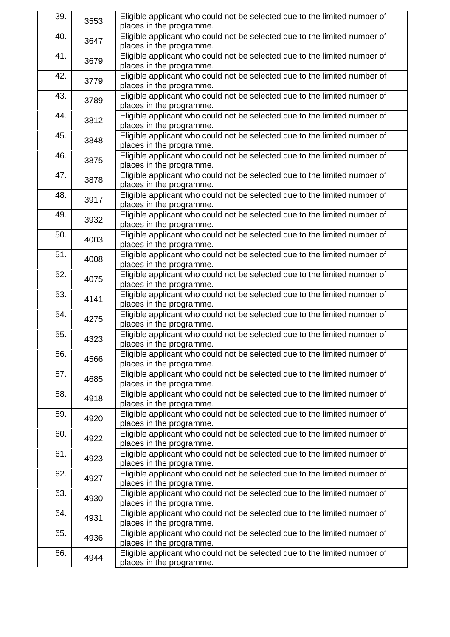| 39. | 3553 | Eligible applicant who could not be selected due to the limited number of |
|-----|------|---------------------------------------------------------------------------|
|     |      | places in the programme.                                                  |
| 40. | 3647 | Eligible applicant who could not be selected due to the limited number of |
|     |      | places in the programme.                                                  |
| 41. | 3679 | Eligible applicant who could not be selected due to the limited number of |
|     |      | places in the programme.                                                  |
| 42. |      | Eligible applicant who could not be selected due to the limited number of |
|     | 3779 | places in the programme.                                                  |
| 43. |      | Eligible applicant who could not be selected due to the limited number of |
|     | 3789 | places in the programme.                                                  |
| 44. |      | Eligible applicant who could not be selected due to the limited number of |
|     | 3812 | places in the programme.                                                  |
| 45. |      | Eligible applicant who could not be selected due to the limited number of |
|     | 3848 | places in the programme.                                                  |
| 46. |      | Eligible applicant who could not be selected due to the limited number of |
|     | 3875 |                                                                           |
|     |      | places in the programme.                                                  |
| 47. | 3878 | Eligible applicant who could not be selected due to the limited number of |
|     |      | places in the programme.                                                  |
| 48. | 3917 | Eligible applicant who could not be selected due to the limited number of |
|     |      | places in the programme.                                                  |
| 49. | 3932 | Eligible applicant who could not be selected due to the limited number of |
|     |      | places in the programme.                                                  |
| 50. | 4003 | Eligible applicant who could not be selected due to the limited number of |
|     |      | places in the programme.                                                  |
| 51. | 4008 | Eligible applicant who could not be selected due to the limited number of |
|     |      | places in the programme.                                                  |
| 52. | 4075 | Eligible applicant who could not be selected due to the limited number of |
|     |      | places in the programme.                                                  |
| 53. |      | Eligible applicant who could not be selected due to the limited number of |
|     | 4141 | places in the programme.                                                  |
| 54. | 4275 | Eligible applicant who could not be selected due to the limited number of |
|     |      | places in the programme.                                                  |
| 55. |      | Eligible applicant who could not be selected due to the limited number of |
|     | 4323 | places in the programme.                                                  |
| 56. |      | Eligible applicant who could not be selected due to the limited number of |
|     | 4566 | places in the programme.                                                  |
| 57. |      | Eligible applicant who could not be selected due to the limited number of |
|     | 4685 | places in the programme.                                                  |
| 58. |      | Eligible applicant who could not be selected due to the limited number of |
|     | 4918 | places in the programme.                                                  |
| 59. |      | Eligible applicant who could not be selected due to the limited number of |
|     | 4920 |                                                                           |
|     |      | places in the programme.                                                  |
| 60. | 4922 | Eligible applicant who could not be selected due to the limited number of |
|     |      | places in the programme.                                                  |
| 61. | 4923 | Eligible applicant who could not be selected due to the limited number of |
|     |      | places in the programme.                                                  |
| 62. | 4927 | Eligible applicant who could not be selected due to the limited number of |
|     |      | places in the programme.                                                  |
| 63. | 4930 | Eligible applicant who could not be selected due to the limited number of |
|     |      | places in the programme.                                                  |
| 64. | 4931 | Eligible applicant who could not be selected due to the limited number of |
|     |      | places in the programme.                                                  |
| 65. | 4936 | Eligible applicant who could not be selected due to the limited number of |
|     |      | places in the programme.                                                  |
| 66. |      | Eligible applicant who could not be selected due to the limited number of |
|     | 4944 | places in the programme.                                                  |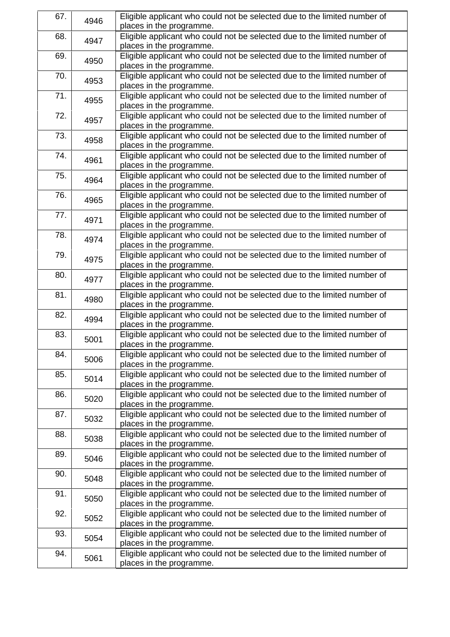| 67. | 4946 | Eligible applicant who could not be selected due to the limited number of |
|-----|------|---------------------------------------------------------------------------|
|     |      | places in the programme.                                                  |
| 68. | 4947 | Eligible applicant who could not be selected due to the limited number of |
|     |      | places in the programme.                                                  |
| 69. | 4950 | Eligible applicant who could not be selected due to the limited number of |
|     |      | places in the programme.                                                  |
| 70. | 4953 | Eligible applicant who could not be selected due to the limited number of |
|     |      | places in the programme.                                                  |
| 71. | 4955 | Eligible applicant who could not be selected due to the limited number of |
|     |      | places in the programme.                                                  |
| 72. |      | Eligible applicant who could not be selected due to the limited number of |
|     | 4957 | places in the programme.                                                  |
| 73. |      | Eligible applicant who could not be selected due to the limited number of |
|     | 4958 | places in the programme.                                                  |
| 74. |      | Eligible applicant who could not be selected due to the limited number of |
|     | 4961 | places in the programme.                                                  |
| 75. |      | Eligible applicant who could not be selected due to the limited number of |
|     | 4964 | places in the programme.                                                  |
| 76. |      | Eligible applicant who could not be selected due to the limited number of |
|     | 4965 | places in the programme.                                                  |
| 77. |      | Eligible applicant who could not be selected due to the limited number of |
|     | 4971 | places in the programme.                                                  |
| 78. |      | Eligible applicant who could not be selected due to the limited number of |
|     | 4974 | places in the programme.                                                  |
| 79. |      | Eligible applicant who could not be selected due to the limited number of |
|     | 4975 | places in the programme.                                                  |
|     |      |                                                                           |
| 80. | 4977 | Eligible applicant who could not be selected due to the limited number of |
|     |      | places in the programme.                                                  |
| 81. | 4980 | Eligible applicant who could not be selected due to the limited number of |
|     | 4994 | places in the programme.                                                  |
| 82. |      | Eligible applicant who could not be selected due to the limited number of |
|     |      | places in the programme.                                                  |
| 83. | 5001 | Eligible applicant who could not be selected due to the limited number of |
|     |      | places in the programme.                                                  |
| 84. | 5006 | Eligible applicant who could not be selected due to the limited number of |
|     |      | places in the programme.                                                  |
| 85. | 5014 | Eligible applicant who could not be selected due to the limited number of |
|     |      | places in the programme.                                                  |
| 86. | 5020 | Eligible applicant who could not be selected due to the limited number of |
|     |      | places in the programme.                                                  |
| 87. | 5032 | Eligible applicant who could not be selected due to the limited number of |
|     |      | places in the programme.                                                  |
| 88. | 5038 | Eligible applicant who could not be selected due to the limited number of |
|     |      | places in the programme.                                                  |
| 89. | 5046 | Eligible applicant who could not be selected due to the limited number of |
|     |      | places in the programme.                                                  |
| 90. | 5048 | Eligible applicant who could not be selected due to the limited number of |
|     |      | places in the programme.                                                  |
| 91. | 5050 | Eligible applicant who could not be selected due to the limited number of |
|     |      | places in the programme.                                                  |
| 92. |      | Eligible applicant who could not be selected due to the limited number of |
|     | 5052 | places in the programme.                                                  |
| 93. | 5054 | Eligible applicant who could not be selected due to the limited number of |
|     |      | places in the programme.                                                  |
| 94. |      | Eligible applicant who could not be selected due to the limited number of |
|     | 5061 | places in the programme.                                                  |
|     |      |                                                                           |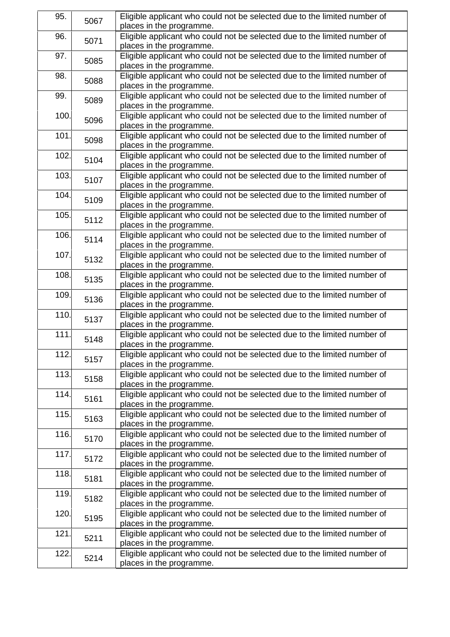| 95.  | 5067 | Eligible applicant who could not be selected due to the limited number of |
|------|------|---------------------------------------------------------------------------|
|      |      | places in the programme.                                                  |
| 96.  | 5071 | Eligible applicant who could not be selected due to the limited number of |
|      |      | places in the programme.                                                  |
| 97.  | 5085 | Eligible applicant who could not be selected due to the limited number of |
|      |      | places in the programme.                                                  |
| 98.  | 5088 | Eligible applicant who could not be selected due to the limited number of |
|      |      | places in the programme.                                                  |
| 99.  | 5089 | Eligible applicant who could not be selected due to the limited number of |
|      |      | places in the programme.                                                  |
| 100. | 5096 | Eligible applicant who could not be selected due to the limited number of |
|      |      | places in the programme.                                                  |
| 101. | 5098 | Eligible applicant who could not be selected due to the limited number of |
|      |      | places in the programme.                                                  |
| 102. |      | Eligible applicant who could not be selected due to the limited number of |
|      | 5104 | places in the programme.                                                  |
| 103. |      | Eligible applicant who could not be selected due to the limited number of |
|      | 5107 | places in the programme.                                                  |
| 104. |      | Eligible applicant who could not be selected due to the limited number of |
|      | 5109 | places in the programme.                                                  |
| 105. |      | Eligible applicant who could not be selected due to the limited number of |
|      | 5112 | places in the programme.                                                  |
| 106. |      | Eligible applicant who could not be selected due to the limited number of |
|      | 5114 | places in the programme.                                                  |
| 107. |      | Eligible applicant who could not be selected due to the limited number of |
|      | 5132 | places in the programme.                                                  |
| 108. |      | Eligible applicant who could not be selected due to the limited number of |
|      | 5135 | places in the programme.                                                  |
| 109. |      | Eligible applicant who could not be selected due to the limited number of |
|      | 5136 | places in the programme.                                                  |
| 110. |      | Eligible applicant who could not be selected due to the limited number of |
|      | 5137 | places in the programme.                                                  |
| 111. |      | Eligible applicant who could not be selected due to the limited number of |
|      | 5148 | places in the programme.                                                  |
| 112. |      | Eligible applicant who could not be selected due to the limited number of |
|      | 5157 | places in the programme.                                                  |
| 113. |      | Eligible applicant who could not be selected due to the limited number of |
|      | 5158 | places in the programme.                                                  |
| 114. |      | Eligible applicant who could not be selected due to the limited number of |
|      | 5161 | places in the programme.                                                  |
| 115. |      | Eligible applicant who could not be selected due to the limited number of |
|      | 5163 | places in the programme.                                                  |
| 116. |      | Eligible applicant who could not be selected due to the limited number of |
|      | 5170 | places in the programme.                                                  |
| 117. |      | Eligible applicant who could not be selected due to the limited number of |
|      | 5172 | places in the programme.                                                  |
| 118. |      | Eligible applicant who could not be selected due to the limited number of |
|      | 5181 | places in the programme.                                                  |
| 119. |      | Eligible applicant who could not be selected due to the limited number of |
|      | 5182 | places in the programme.                                                  |
| 120. |      | Eligible applicant who could not be selected due to the limited number of |
|      | 5195 | places in the programme.                                                  |
| 121. |      | Eligible applicant who could not be selected due to the limited number of |
|      | 5211 | places in the programme.                                                  |
| 122. |      | Eligible applicant who could not be selected due to the limited number of |
|      | 5214 | places in the programme.                                                  |
|      |      |                                                                           |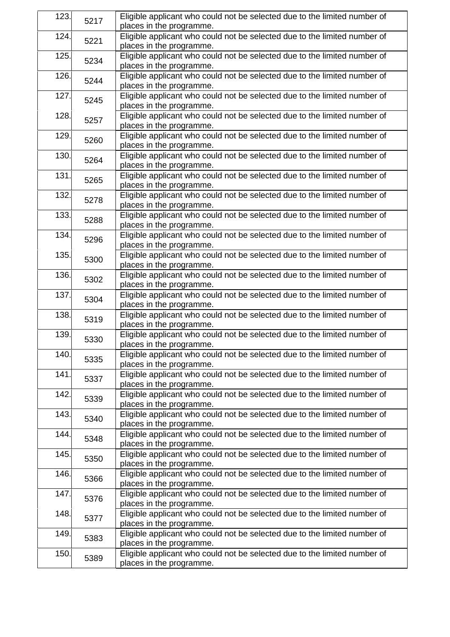| 123. | 5217 | Eligible applicant who could not be selected due to the limited number of<br>places in the programme. |
|------|------|-------------------------------------------------------------------------------------------------------|
| 124. |      | Eligible applicant who could not be selected due to the limited number of                             |
|      | 5221 | places in the programme.                                                                              |
| 125. |      | Eligible applicant who could not be selected due to the limited number of                             |
|      | 5234 | places in the programme.                                                                              |
| 126. |      | Eligible applicant who could not be selected due to the limited number of                             |
|      | 5244 | places in the programme.                                                                              |
| 127. |      | Eligible applicant who could not be selected due to the limited number of                             |
|      | 5245 | places in the programme.                                                                              |
| 128. |      | Eligible applicant who could not be selected due to the limited number of                             |
|      | 5257 | places in the programme.                                                                              |
| 129. |      | Eligible applicant who could not be selected due to the limited number of                             |
|      | 5260 | places in the programme.                                                                              |
| 130. |      | Eligible applicant who could not be selected due to the limited number of                             |
|      | 5264 | places in the programme.                                                                              |
| 131. |      | Eligible applicant who could not be selected due to the limited number of                             |
|      | 5265 | places in the programme.                                                                              |
| 132. |      | Eligible applicant who could not be selected due to the limited number of                             |
|      | 5278 | places in the programme.                                                                              |
| 133. |      | Eligible applicant who could not be selected due to the limited number of                             |
|      | 5288 | places in the programme.                                                                              |
| 134. |      | Eligible applicant who could not be selected due to the limited number of                             |
|      | 5296 | places in the programme.                                                                              |
| 135. |      | Eligible applicant who could not be selected due to the limited number of                             |
|      | 5300 | places in the programme.                                                                              |
| 136. |      | Eligible applicant who could not be selected due to the limited number of                             |
|      | 5302 | places in the programme.                                                                              |
| 137. |      | Eligible applicant who could not be selected due to the limited number of                             |
|      | 5304 | places in the programme.                                                                              |
| 138. | 5319 | Eligible applicant who could not be selected due to the limited number of                             |
|      |      | places in the programme.                                                                              |
| 139. |      | Eligible applicant who could not be selected due to the limited number of                             |
|      | 5330 | places in the programme.                                                                              |
| 140. |      | Eligible applicant who could not be selected due to the limited number of                             |
|      | 5335 | places in the programme.                                                                              |
| 141. |      | Eligible applicant who could not be selected due to the limited number of                             |
|      | 5337 | places in the programme.                                                                              |
| 142. |      | Eligible applicant who could not be selected due to the limited number of                             |
|      | 5339 | places in the programme.                                                                              |
| 143. |      | Eligible applicant who could not be selected due to the limited number of                             |
|      | 5340 | places in the programme.                                                                              |
| 144. |      | Eligible applicant who could not be selected due to the limited number of                             |
|      | 5348 | places in the programme.                                                                              |
| 145. |      | Eligible applicant who could not be selected due to the limited number of                             |
|      | 5350 | places in the programme.                                                                              |
| 146. |      | Eligible applicant who could not be selected due to the limited number of                             |
|      | 5366 | places in the programme.                                                                              |
| 147. |      | Eligible applicant who could not be selected due to the limited number of                             |
|      | 5376 | places in the programme.                                                                              |
| 148. |      | Eligible applicant who could not be selected due to the limited number of                             |
|      | 5377 | places in the programme.                                                                              |
| 149. |      | Eligible applicant who could not be selected due to the limited number of                             |
|      | 5383 | places in the programme.                                                                              |
| 150. |      | Eligible applicant who could not be selected due to the limited number of                             |
|      | 5389 | places in the programme.                                                                              |
|      |      |                                                                                                       |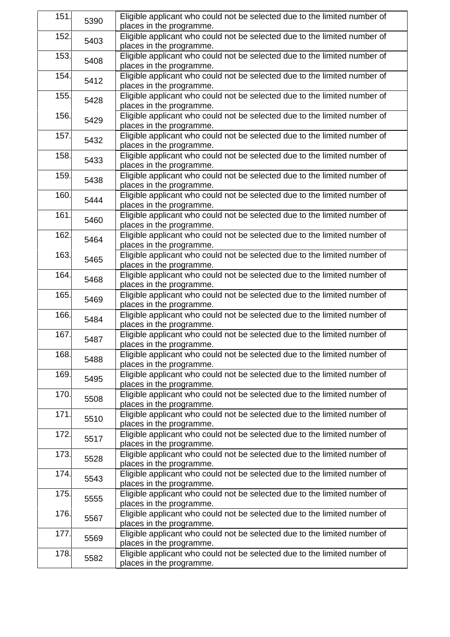| 151. | 5390 | Eligible applicant who could not be selected due to the limited number of<br>places in the programme. |
|------|------|-------------------------------------------------------------------------------------------------------|
| 152. | 5403 | Eligible applicant who could not be selected due to the limited number of<br>places in the programme. |
| 153. | 5408 | Eligible applicant who could not be selected due to the limited number of<br>places in the programme. |
| 154. | 5412 | Eligible applicant who could not be selected due to the limited number of<br>places in the programme. |
| 155. | 5428 | Eligible applicant who could not be selected due to the limited number of<br>places in the programme. |
| 156. | 5429 | Eligible applicant who could not be selected due to the limited number of<br>places in the programme. |
| 157. | 5432 | Eligible applicant who could not be selected due to the limited number of<br>places in the programme. |
| 158. | 5433 | Eligible applicant who could not be selected due to the limited number of<br>places in the programme. |
| 159. | 5438 | Eligible applicant who could not be selected due to the limited number of<br>places in the programme. |
| 160. | 5444 | Eligible applicant who could not be selected due to the limited number of<br>places in the programme. |
| 161. | 5460 | Eligible applicant who could not be selected due to the limited number of<br>places in the programme. |
| 162. | 5464 | Eligible applicant who could not be selected due to the limited number of<br>places in the programme. |
| 163. | 5465 | Eligible applicant who could not be selected due to the limited number of<br>places in the programme. |
| 164. | 5468 | Eligible applicant who could not be selected due to the limited number of<br>places in the programme. |
| 165. | 5469 | Eligible applicant who could not be selected due to the limited number of<br>places in the programme. |
| 166. | 5484 | Eligible applicant who could not be selected due to the limited number of<br>places in the programme. |
| 167. | 5487 | Eligible applicant who could not be selected due to the limited number of<br>places in the programme. |
| 168. | 5488 | Eligible applicant who could not be selected due to the limited number of<br>places in the programme. |
| 169. | 5495 | Eligible applicant who could not be selected due to the limited number of<br>places in the programme. |
| 170. | 5508 | Eligible applicant who could not be selected due to the limited number of<br>places in the programme. |
| 171. | 5510 | Eligible applicant who could not be selected due to the limited number of<br>places in the programme. |
| 172. | 5517 | Eligible applicant who could not be selected due to the limited number of<br>places in the programme. |
| 173. | 5528 | Eligible applicant who could not be selected due to the limited number of<br>places in the programme. |
| 174. | 5543 | Eligible applicant who could not be selected due to the limited number of<br>places in the programme. |
| 175. | 5555 | Eligible applicant who could not be selected due to the limited number of<br>places in the programme. |
| 176. | 5567 | Eligible applicant who could not be selected due to the limited number of<br>places in the programme. |
| 177. | 5569 | Eligible applicant who could not be selected due to the limited number of<br>places in the programme. |
| 178. | 5582 | Eligible applicant who could not be selected due to the limited number of<br>places in the programme. |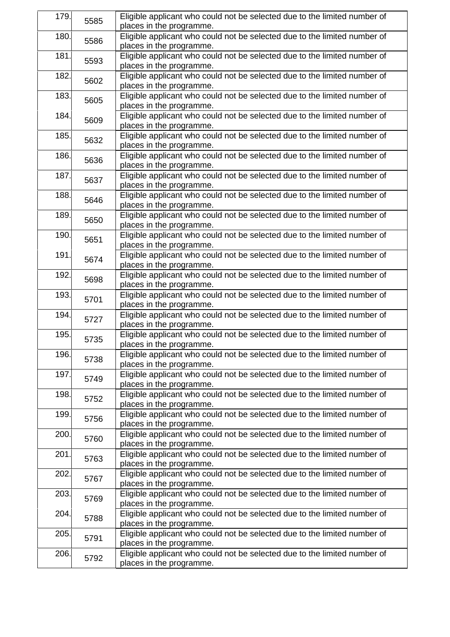| 179. | 5585 | Eligible applicant who could not be selected due to the limited number of<br>places in the programme. |
|------|------|-------------------------------------------------------------------------------------------------------|
| 180. | 5586 | Eligible applicant who could not be selected due to the limited number of<br>places in the programme. |
| 181. | 5593 | Eligible applicant who could not be selected due to the limited number of<br>places in the programme. |
| 182. | 5602 | Eligible applicant who could not be selected due to the limited number of<br>places in the programme. |
| 183. | 5605 | Eligible applicant who could not be selected due to the limited number of<br>places in the programme. |
| 184. | 5609 | Eligible applicant who could not be selected due to the limited number of<br>places in the programme. |
| 185. | 5632 | Eligible applicant who could not be selected due to the limited number of<br>places in the programme. |
| 186. | 5636 | Eligible applicant who could not be selected due to the limited number of<br>places in the programme. |
| 187. | 5637 | Eligible applicant who could not be selected due to the limited number of<br>places in the programme. |
| 188. | 5646 | Eligible applicant who could not be selected due to the limited number of<br>places in the programme. |
| 189. | 5650 | Eligible applicant who could not be selected due to the limited number of<br>places in the programme. |
| 190. | 5651 | Eligible applicant who could not be selected due to the limited number of<br>places in the programme. |
| 191. | 5674 | Eligible applicant who could not be selected due to the limited number of<br>places in the programme. |
| 192. | 5698 | Eligible applicant who could not be selected due to the limited number of<br>places in the programme. |
| 193. | 5701 | Eligible applicant who could not be selected due to the limited number of<br>places in the programme. |
| 194. | 5727 | Eligible applicant who could not be selected due to the limited number of<br>places in the programme. |
| 195. | 5735 | Eligible applicant who could not be selected due to the limited number of<br>places in the programme. |
| 196. | 5738 | Eligible applicant who could not be selected due to the limited number of<br>places in the programme. |
| 197. | 5749 | Eligible applicant who could not be selected due to the limited number of<br>places in the programme. |
| 198. | 5752 | Eligible applicant who could not be selected due to the limited number of<br>places in the programme. |
| 199. | 5756 | Eligible applicant who could not be selected due to the limited number of<br>places in the programme. |
| 200. | 5760 | Eligible applicant who could not be selected due to the limited number of<br>places in the programme. |
| 201. | 5763 | Eligible applicant who could not be selected due to the limited number of<br>places in the programme. |
| 202. | 5767 | Eligible applicant who could not be selected due to the limited number of<br>places in the programme. |
| 203. | 5769 | Eligible applicant who could not be selected due to the limited number of<br>places in the programme. |
| 204. | 5788 | Eligible applicant who could not be selected due to the limited number of<br>places in the programme. |
| 205. | 5791 | Eligible applicant who could not be selected due to the limited number of<br>places in the programme. |
| 206. | 5792 | Eligible applicant who could not be selected due to the limited number of<br>places in the programme. |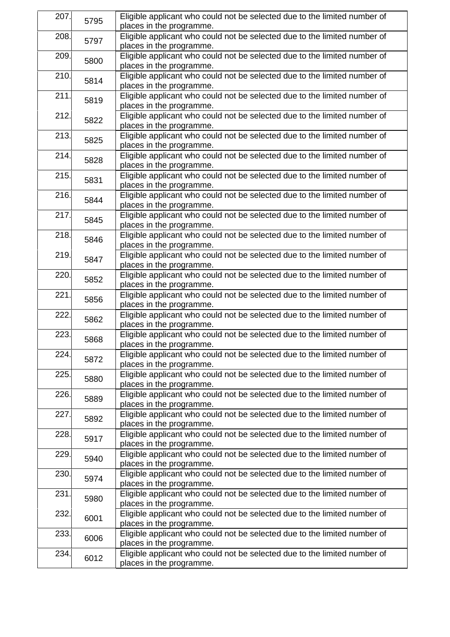| 207. | 5795 | Eligible applicant who could not be selected due to the limited number of |
|------|------|---------------------------------------------------------------------------|
|      |      | places in the programme.                                                  |
| 208. | 5797 | Eligible applicant who could not be selected due to the limited number of |
|      |      | places in the programme.                                                  |
| 209. | 5800 | Eligible applicant who could not be selected due to the limited number of |
|      |      | places in the programme.                                                  |
| 210. | 5814 | Eligible applicant who could not be selected due to the limited number of |
|      |      | places in the programme.                                                  |
| 211. | 5819 | Eligible applicant who could not be selected due to the limited number of |
|      |      | places in the programme.                                                  |
| 212. | 5822 | Eligible applicant who could not be selected due to the limited number of |
|      |      | places in the programme.                                                  |
| 213. | 5825 | Eligible applicant who could not be selected due to the limited number of |
|      |      | places in the programme.                                                  |
| 214. |      | Eligible applicant who could not be selected due to the limited number of |
|      | 5828 | places in the programme.                                                  |
| 215. |      | Eligible applicant who could not be selected due to the limited number of |
|      | 5831 | places in the programme.                                                  |
| 216. |      | Eligible applicant who could not be selected due to the limited number of |
|      | 5844 | places in the programme.                                                  |
| 217. |      | Eligible applicant who could not be selected due to the limited number of |
|      | 5845 | places in the programme.                                                  |
| 218. |      | Eligible applicant who could not be selected due to the limited number of |
|      | 5846 | places in the programme.                                                  |
| 219. |      | Eligible applicant who could not be selected due to the limited number of |
|      | 5847 | places in the programme.                                                  |
| 220. |      | Eligible applicant who could not be selected due to the limited number of |
|      | 5852 | places in the programme.                                                  |
| 221. |      | Eligible applicant who could not be selected due to the limited number of |
|      | 5856 | places in the programme.                                                  |
| 222. | 5862 | Eligible applicant who could not be selected due to the limited number of |
|      |      | places in the programme.                                                  |
| 223. |      | Eligible applicant who could not be selected due to the limited number of |
|      | 5868 | places in the programme.                                                  |
| 224. |      | Eligible applicant who could not be selected due to the limited number of |
|      | 5872 | places in the programme.                                                  |
| 225. |      | Eligible applicant who could not be selected due to the limited number of |
|      | 5880 |                                                                           |
|      |      | places in the programme.                                                  |
| 226. | 5889 | Eligible applicant who could not be selected due to the limited number of |
|      |      | places in the programme.                                                  |
| 227. | 5892 | Eligible applicant who could not be selected due to the limited number of |
|      |      | places in the programme.                                                  |
| 228. | 5917 | Eligible applicant who could not be selected due to the limited number of |
|      |      | places in the programme.                                                  |
| 229. | 5940 | Eligible applicant who could not be selected due to the limited number of |
|      |      | places in the programme.                                                  |
| 230. | 5974 | Eligible applicant who could not be selected due to the limited number of |
|      |      | places in the programme.                                                  |
| 231. | 5980 | Eligible applicant who could not be selected due to the limited number of |
|      |      | places in the programme.                                                  |
| 232. | 6001 | Eligible applicant who could not be selected due to the limited number of |
|      |      | places in the programme.                                                  |
| 233. | 6006 | Eligible applicant who could not be selected due to the limited number of |
|      |      | places in the programme.                                                  |
| 234. | 6012 | Eligible applicant who could not be selected due to the limited number of |
|      |      | places in the programme.                                                  |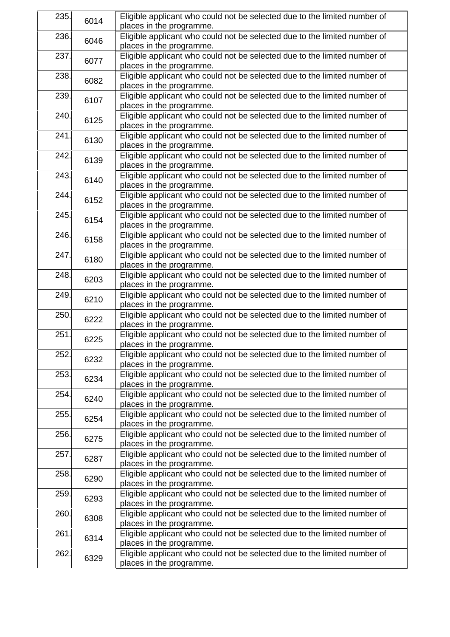| 235. | 6014 | Eligible applicant who could not be selected due to the limited number of<br>places in the programme. |
|------|------|-------------------------------------------------------------------------------------------------------|
| 236. | 6046 | Eligible applicant who could not be selected due to the limited number of<br>places in the programme. |
| 237. | 6077 | Eligible applicant who could not be selected due to the limited number of<br>places in the programme. |
| 238. | 6082 | Eligible applicant who could not be selected due to the limited number of<br>places in the programme. |
| 239. | 6107 | Eligible applicant who could not be selected due to the limited number of<br>places in the programme. |
| 240. | 6125 | Eligible applicant who could not be selected due to the limited number of<br>places in the programme. |
| 241. | 6130 | Eligible applicant who could not be selected due to the limited number of<br>places in the programme. |
| 242. | 6139 | Eligible applicant who could not be selected due to the limited number of<br>places in the programme. |
| 243. | 6140 | Eligible applicant who could not be selected due to the limited number of<br>places in the programme. |
| 244. | 6152 | Eligible applicant who could not be selected due to the limited number of<br>places in the programme. |
| 245. | 6154 | Eligible applicant who could not be selected due to the limited number of<br>places in the programme. |
| 246. | 6158 | Eligible applicant who could not be selected due to the limited number of<br>places in the programme. |
| 247. | 6180 | Eligible applicant who could not be selected due to the limited number of<br>places in the programme. |
| 248. | 6203 | Eligible applicant who could not be selected due to the limited number of<br>places in the programme. |
| 249. | 6210 | Eligible applicant who could not be selected due to the limited number of<br>places in the programme. |
| 250. | 6222 | Eligible applicant who could not be selected due to the limited number of<br>places in the programme. |
| 251. | 6225 | Eligible applicant who could not be selected due to the limited number of<br>places in the programme. |
| 252. | 6232 | Eligible applicant who could not be selected due to the limited number of<br>places in the programme. |
| 253. | 6234 | Eligible applicant who could not be selected due to the limited number of<br>places in the programme. |
| 254. | 6240 | Eligible applicant who could not be selected due to the limited number of<br>places in the programme. |
| 255. | 6254 | Eligible applicant who could not be selected due to the limited number of<br>places in the programme. |
| 256. | 6275 | Eligible applicant who could not be selected due to the limited number of<br>places in the programme. |
| 257. | 6287 | Eligible applicant who could not be selected due to the limited number of<br>places in the programme. |
| 258. | 6290 | Eligible applicant who could not be selected due to the limited number of<br>places in the programme. |
| 259. | 6293 | Eligible applicant who could not be selected due to the limited number of<br>places in the programme. |
| 260. | 6308 | Eligible applicant who could not be selected due to the limited number of<br>places in the programme. |
| 261. | 6314 | Eligible applicant who could not be selected due to the limited number of<br>places in the programme. |
| 262. | 6329 | Eligible applicant who could not be selected due to the limited number of<br>places in the programme. |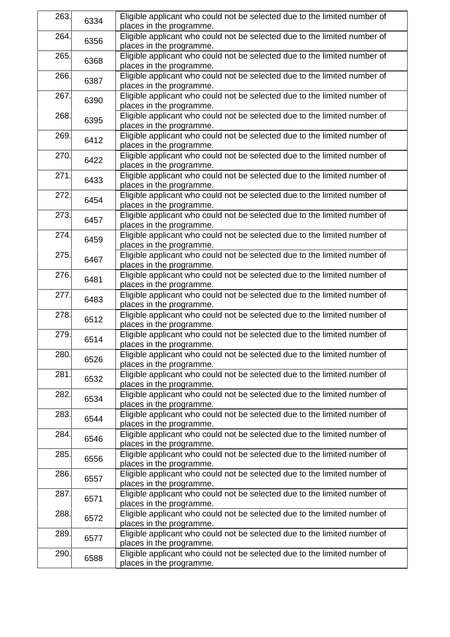| 263. | 6334 | Eligible applicant who could not be selected due to the limited number of<br>places in the programme. |
|------|------|-------------------------------------------------------------------------------------------------------|
| 264. | 6356 | Eligible applicant who could not be selected due to the limited number of<br>places in the programme. |
| 265. | 6368 | Eligible applicant who could not be selected due to the limited number of<br>places in the programme. |
| 266. | 6387 | Eligible applicant who could not be selected due to the limited number of<br>places in the programme. |
| 267. | 6390 | Eligible applicant who could not be selected due to the limited number of<br>places in the programme. |
| 268. | 6395 | Eligible applicant who could not be selected due to the limited number of<br>places in the programme. |
| 269. | 6412 | Eligible applicant who could not be selected due to the limited number of<br>places in the programme. |
| 270. | 6422 | Eligible applicant who could not be selected due to the limited number of<br>places in the programme. |
| 271. | 6433 | Eligible applicant who could not be selected due to the limited number of<br>places in the programme. |
| 272. | 6454 | Eligible applicant who could not be selected due to the limited number of<br>places in the programme. |
| 273. | 6457 | Eligible applicant who could not be selected due to the limited number of<br>places in the programme. |
| 274. | 6459 | Eligible applicant who could not be selected due to the limited number of<br>places in the programme. |
| 275. | 6467 | Eligible applicant who could not be selected due to the limited number of<br>places in the programme. |
| 276. | 6481 | Eligible applicant who could not be selected due to the limited number of<br>places in the programme. |
| 277. | 6483 | Eligible applicant who could not be selected due to the limited number of<br>places in the programme. |
| 278. | 6512 | Eligible applicant who could not be selected due to the limited number of<br>places in the programme. |
| 279. | 6514 | Eligible applicant who could not be selected due to the limited number of<br>places in the programme. |
| 280. | 6526 | Eligible applicant who could not be selected due to the limited number of<br>places in the programme. |
| 281. | 6532 | Eligible applicant who could not be selected due to the limited number of<br>places in the programme. |
| 282. | 6534 | Eligible applicant who could not be selected due to the limited number of<br>places in the programme. |
| 283. | 6544 | Eligible applicant who could not be selected due to the limited number of<br>places in the programme. |
| 284. | 6546 | Eligible applicant who could not be selected due to the limited number of<br>places in the programme. |
| 285. | 6556 | Eligible applicant who could not be selected due to the limited number of<br>places in the programme. |
| 286. | 6557 | Eligible applicant who could not be selected due to the limited number of<br>places in the programme. |
| 287. | 6571 | Eligible applicant who could not be selected due to the limited number of<br>places in the programme. |
| 288. | 6572 | Eligible applicant who could not be selected due to the limited number of<br>places in the programme. |
| 289. | 6577 | Eligible applicant who could not be selected due to the limited number of<br>places in the programme. |
| 290. | 6588 | Eligible applicant who could not be selected due to the limited number of<br>places in the programme. |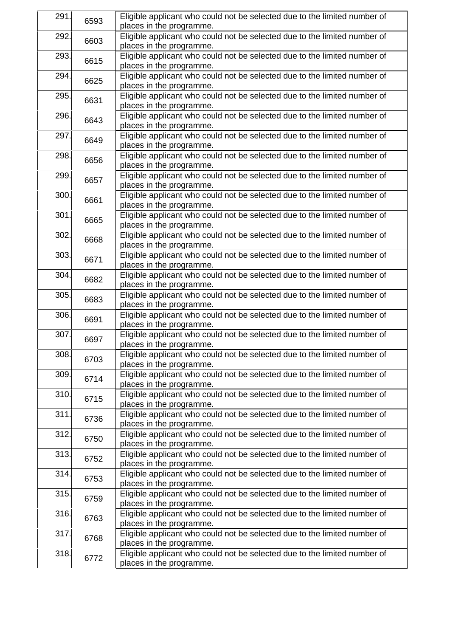| 291. | 6593 | Eligible applicant who could not be selected due to the limited number of |
|------|------|---------------------------------------------------------------------------|
|      |      | places in the programme.                                                  |
| 292. | 6603 | Eligible applicant who could not be selected due to the limited number of |
|      |      | places in the programme.                                                  |
| 293. | 6615 | Eligible applicant who could not be selected due to the limited number of |
|      |      | places in the programme.                                                  |
| 294. |      | Eligible applicant who could not be selected due to the limited number of |
|      | 6625 | places in the programme.                                                  |
| 295. |      | Eligible applicant who could not be selected due to the limited number of |
|      | 6631 | places in the programme.                                                  |
| 296. |      | Eligible applicant who could not be selected due to the limited number of |
|      | 6643 | places in the programme.                                                  |
| 297. |      | Eligible applicant who could not be selected due to the limited number of |
|      | 6649 | places in the programme.                                                  |
| 298. |      |                                                                           |
|      | 6656 | Eligible applicant who could not be selected due to the limited number of |
|      |      | places in the programme.                                                  |
| 299. | 6657 | Eligible applicant who could not be selected due to the limited number of |
|      |      | places in the programme.                                                  |
| 300. | 6661 | Eligible applicant who could not be selected due to the limited number of |
|      |      | places in the programme.                                                  |
| 301. | 6665 | Eligible applicant who could not be selected due to the limited number of |
|      |      | places in the programme.                                                  |
| 302. |      | Eligible applicant who could not be selected due to the limited number of |
|      | 6668 | places in the programme.                                                  |
| 303. |      | Eligible applicant who could not be selected due to the limited number of |
|      | 6671 | places in the programme.                                                  |
| 304. |      | Eligible applicant who could not be selected due to the limited number of |
|      | 6682 | places in the programme.                                                  |
| 305. |      | Eligible applicant who could not be selected due to the limited number of |
|      | 6683 | places in the programme.                                                  |
| 306. | 6691 | Eligible applicant who could not be selected due to the limited number of |
|      |      | places in the programme.                                                  |
|      |      |                                                                           |
| 307. | 6697 | Eligible applicant who could not be selected due to the limited number of |
|      |      | places in the programme.                                                  |
| 308. | 6703 | Eligible applicant who could not be selected due to the limited number of |
|      |      | places in the programme.                                                  |
| 309. | 6714 | Eligible applicant who could not be selected due to the limited number of |
|      |      | places in the programme.                                                  |
| 310. | 6715 | Eligible applicant who could not be selected due to the limited number of |
|      |      | places in the programme.                                                  |
| 311. | 6736 | Eligible applicant who could not be selected due to the limited number of |
|      |      | places in the programme.                                                  |
| 312. |      | Eligible applicant who could not be selected due to the limited number of |
|      | 6750 | places in the programme.                                                  |
| 313. |      | Eligible applicant who could not be selected due to the limited number of |
|      | 6752 | places in the programme.                                                  |
| 314. |      | Eligible applicant who could not be selected due to the limited number of |
|      | 6753 | places in the programme.                                                  |
| 315. |      | Eligible applicant who could not be selected due to the limited number of |
|      | 6759 | places in the programme.                                                  |
|      |      |                                                                           |
| 316. | 6763 | Eligible applicant who could not be selected due to the limited number of |
|      |      | places in the programme.                                                  |
| 317. | 6768 | Eligible applicant who could not be selected due to the limited number of |
|      |      | places in the programme.                                                  |
| 318. | 6772 | Eligible applicant who could not be selected due to the limited number of |
|      |      | places in the programme.                                                  |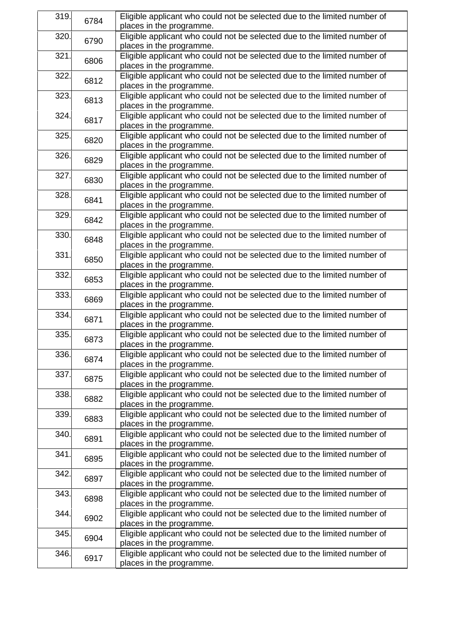| 319. | 6784 | Eligible applicant who could not be selected due to the limited number of<br>places in the programme. |
|------|------|-------------------------------------------------------------------------------------------------------|
| 320. | 6790 | Eligible applicant who could not be selected due to the limited number of<br>places in the programme. |
| 321. | 6806 | Eligible applicant who could not be selected due to the limited number of<br>places in the programme. |
| 322. | 6812 | Eligible applicant who could not be selected due to the limited number of<br>places in the programme. |
| 323. | 6813 | Eligible applicant who could not be selected due to the limited number of<br>places in the programme. |
| 324. | 6817 | Eligible applicant who could not be selected due to the limited number of<br>places in the programme. |
| 325. | 6820 | Eligible applicant who could not be selected due to the limited number of<br>places in the programme. |
| 326. | 6829 | Eligible applicant who could not be selected due to the limited number of<br>places in the programme. |
| 327. | 6830 | Eligible applicant who could not be selected due to the limited number of<br>places in the programme. |
| 328. | 6841 | Eligible applicant who could not be selected due to the limited number of<br>places in the programme. |
| 329. | 6842 | Eligible applicant who could not be selected due to the limited number of<br>places in the programme. |
| 330. | 6848 | Eligible applicant who could not be selected due to the limited number of<br>places in the programme. |
| 331. | 6850 | Eligible applicant who could not be selected due to the limited number of<br>places in the programme. |
| 332. | 6853 | Eligible applicant who could not be selected due to the limited number of<br>places in the programme. |
| 333. | 6869 | Eligible applicant who could not be selected due to the limited number of<br>places in the programme. |
| 334. | 6871 | Eligible applicant who could not be selected due to the limited number of<br>places in the programme. |
| 335. | 6873 | Eligible applicant who could not be selected due to the limited number of<br>places in the programme. |
| 336. | 6874 | Eligible applicant who could not be selected due to the limited number of<br>places in the programme. |
| 337. | 6875 | Eligible applicant who could not be selected due to the limited number of<br>places in the programme. |
| 338. | 6882 | Eligible applicant who could not be selected due to the limited number of<br>places in the programme. |
| 339. | 6883 | Eligible applicant who could not be selected due to the limited number of<br>places in the programme. |
| 340. | 6891 | Eligible applicant who could not be selected due to the limited number of<br>places in the programme. |
| 341. | 6895 | Eligible applicant who could not be selected due to the limited number of<br>places in the programme. |
| 342. | 6897 | Eligible applicant who could not be selected due to the limited number of<br>places in the programme. |
| 343. | 6898 | Eligible applicant who could not be selected due to the limited number of<br>places in the programme. |
| 344. | 6902 | Eligible applicant who could not be selected due to the limited number of<br>places in the programme. |
| 345. | 6904 | Eligible applicant who could not be selected due to the limited number of<br>places in the programme. |
| 346. | 6917 | Eligible applicant who could not be selected due to the limited number of<br>places in the programme. |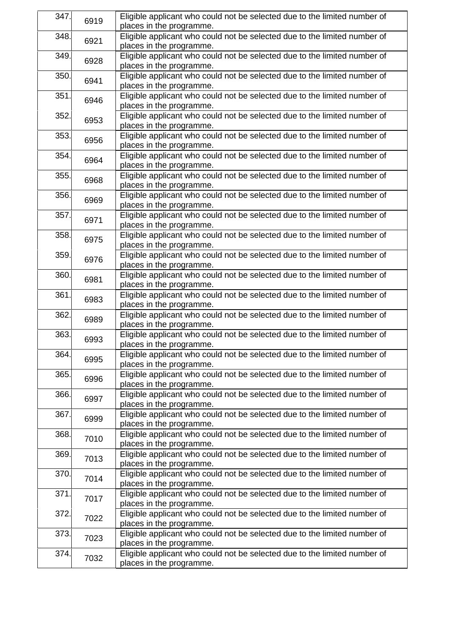| 347. | 6919 | Eligible applicant who could not be selected due to the limited number of<br>places in the programme. |
|------|------|-------------------------------------------------------------------------------------------------------|
| 348. | 6921 | Eligible applicant who could not be selected due to the limited number of<br>places in the programme. |
| 349. | 6928 | Eligible applicant who could not be selected due to the limited number of<br>places in the programme. |
| 350. | 6941 | Eligible applicant who could not be selected due to the limited number of<br>places in the programme. |
| 351. | 6946 | Eligible applicant who could not be selected due to the limited number of<br>places in the programme. |
| 352. | 6953 | Eligible applicant who could not be selected due to the limited number of<br>places in the programme. |
| 353. | 6956 | Eligible applicant who could not be selected due to the limited number of<br>places in the programme. |
| 354. | 6964 | Eligible applicant who could not be selected due to the limited number of<br>places in the programme. |
| 355. | 6968 | Eligible applicant who could not be selected due to the limited number of<br>places in the programme. |
| 356. | 6969 | Eligible applicant who could not be selected due to the limited number of<br>places in the programme. |
| 357. | 6971 | Eligible applicant who could not be selected due to the limited number of<br>places in the programme. |
| 358. | 6975 | Eligible applicant who could not be selected due to the limited number of<br>places in the programme. |
| 359. | 6976 | Eligible applicant who could not be selected due to the limited number of<br>places in the programme. |
| 360. | 6981 | Eligible applicant who could not be selected due to the limited number of<br>places in the programme. |
| 361  | 6983 | Eligible applicant who could not be selected due to the limited number of<br>places in the programme. |
| 362. | 6989 | Eligible applicant who could not be selected due to the limited number of<br>places in the programme. |
| 363. | 6993 | Eligible applicant who could not be selected due to the limited number of<br>places in the programme. |
| 364. | 6995 | Eligible applicant who could not be selected due to the limited number of<br>places in the programme. |
| 365. | 6996 | Eligible applicant who could not be selected due to the limited number of<br>places in the programme. |
| 366. | 6997 | Eligible applicant who could not be selected due to the limited number of<br>places in the programme. |
| 367. | 6999 | Eligible applicant who could not be selected due to the limited number of<br>places in the programme. |
| 368. | 7010 | Eligible applicant who could not be selected due to the limited number of<br>places in the programme. |
| 369. | 7013 | Eligible applicant who could not be selected due to the limited number of<br>places in the programme. |
| 370. | 7014 | Eligible applicant who could not be selected due to the limited number of<br>places in the programme. |
| 371. | 7017 | Eligible applicant who could not be selected due to the limited number of<br>places in the programme. |
| 372. | 7022 | Eligible applicant who could not be selected due to the limited number of<br>places in the programme. |
| 373. | 7023 | Eligible applicant who could not be selected due to the limited number of<br>places in the programme. |
| 374. | 7032 | Eligible applicant who could not be selected due to the limited number of<br>places in the programme. |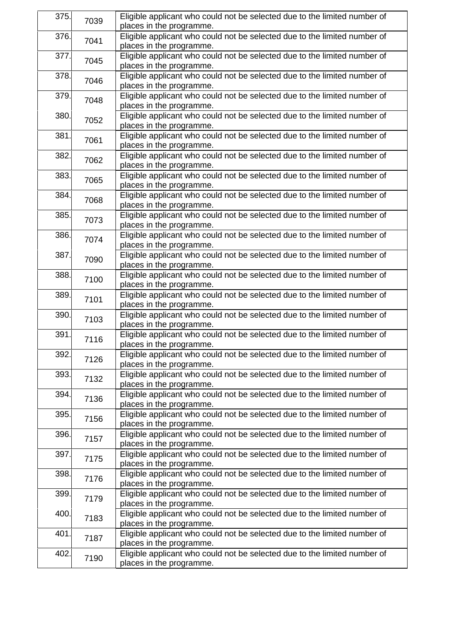| 375. | 7039 | Eligible applicant who could not be selected due to the limited number of |
|------|------|---------------------------------------------------------------------------|
|      |      | places in the programme.                                                  |
| 376. | 7041 | Eligible applicant who could not be selected due to the limited number of |
|      |      | places in the programme.                                                  |
| 377. | 7045 | Eligible applicant who could not be selected due to the limited number of |
|      |      | places in the programme.                                                  |
| 378. |      | Eligible applicant who could not be selected due to the limited number of |
|      | 7046 | places in the programme.                                                  |
| 379. |      | Eligible applicant who could not be selected due to the limited number of |
|      | 7048 | places in the programme.                                                  |
| 380. |      | Eligible applicant who could not be selected due to the limited number of |
|      | 7052 | places in the programme.                                                  |
| 381. |      | Eligible applicant who could not be selected due to the limited number of |
|      | 7061 | places in the programme.                                                  |
| 382. |      | Eligible applicant who could not be selected due to the limited number of |
|      | 7062 | places in the programme.                                                  |
|      |      |                                                                           |
| 383. | 7065 | Eligible applicant who could not be selected due to the limited number of |
|      |      | places in the programme.                                                  |
| 384. | 7068 | Eligible applicant who could not be selected due to the limited number of |
|      |      | places in the programme.                                                  |
| 385. | 7073 | Eligible applicant who could not be selected due to the limited number of |
|      |      | places in the programme.                                                  |
| 386. | 7074 | Eligible applicant who could not be selected due to the limited number of |
|      |      | places in the programme.                                                  |
| 387. | 7090 | Eligible applicant who could not be selected due to the limited number of |
|      |      | places in the programme.                                                  |
| 388. | 7100 | Eligible applicant who could not be selected due to the limited number of |
|      |      | places in the programme.                                                  |
| 389. |      | Eligible applicant who could not be selected due to the limited number of |
|      | 7101 | places in the programme.                                                  |
| 390. |      | Eligible applicant who could not be selected due to the limited number of |
|      | 7103 | places in the programme.                                                  |
| 391. |      | Eligible applicant who could not be selected due to the limited number of |
|      | 7116 | places in the programme.                                                  |
| 392. |      | Eligible applicant who could not be selected due to the limited number of |
|      | 7126 | places in the programme.                                                  |
| 393. |      | Eligible applicant who could not be selected due to the limited number of |
|      | 7132 | places in the programme.                                                  |
| 394. |      | Eligible applicant who could not be selected due to the limited number of |
|      | 7136 | places in the programme.                                                  |
| 395. |      |                                                                           |
|      | 7156 | Eligible applicant who could not be selected due to the limited number of |
|      |      | places in the programme.                                                  |
| 396. | 7157 | Eligible applicant who could not be selected due to the limited number of |
|      |      | places in the programme.                                                  |
| 397. | 7175 | Eligible applicant who could not be selected due to the limited number of |
|      |      | places in the programme.                                                  |
| 398. | 7176 | Eligible applicant who could not be selected due to the limited number of |
|      |      | places in the programme.                                                  |
| 399. | 7179 | Eligible applicant who could not be selected due to the limited number of |
|      |      | places in the programme.                                                  |
| 400. | 7183 | Eligible applicant who could not be selected due to the limited number of |
|      |      | places in the programme.                                                  |
| 401. | 7187 | Eligible applicant who could not be selected due to the limited number of |
|      |      | places in the programme.                                                  |
| 402. | 7190 | Eligible applicant who could not be selected due to the limited number of |
|      |      | places in the programme.                                                  |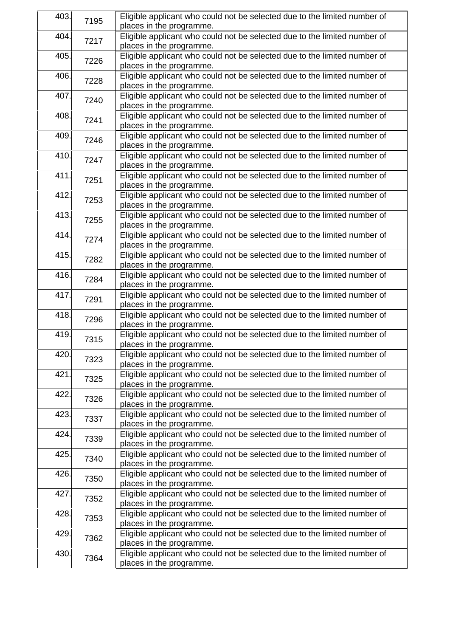| 403. | 7195 | Eligible applicant who could not be selected due to the limited number of<br>places in the programme. |
|------|------|-------------------------------------------------------------------------------------------------------|
| 404. | 7217 | Eligible applicant who could not be selected due to the limited number of<br>places in the programme. |
| 405. | 7226 | Eligible applicant who could not be selected due to the limited number of<br>places in the programme. |
| 406. | 7228 | Eligible applicant who could not be selected due to the limited number of<br>places in the programme. |
| 407. | 7240 | Eligible applicant who could not be selected due to the limited number of<br>places in the programme. |
| 408. | 7241 | Eligible applicant who could not be selected due to the limited number of<br>places in the programme. |
| 409. | 7246 | Eligible applicant who could not be selected due to the limited number of<br>places in the programme. |
| 410. | 7247 | Eligible applicant who could not be selected due to the limited number of<br>places in the programme. |
| 411. | 7251 | Eligible applicant who could not be selected due to the limited number of<br>places in the programme. |
| 412. | 7253 | Eligible applicant who could not be selected due to the limited number of<br>places in the programme. |
| 413. | 7255 | Eligible applicant who could not be selected due to the limited number of<br>places in the programme. |
| 414. | 7274 | Eligible applicant who could not be selected due to the limited number of<br>places in the programme. |
| 415. | 7282 | Eligible applicant who could not be selected due to the limited number of<br>places in the programme. |
| 416. | 7284 | Eligible applicant who could not be selected due to the limited number of<br>places in the programme. |
| 417. | 7291 | Eligible applicant who could not be selected due to the limited number of<br>places in the programme. |
| 418. | 7296 | Eligible applicant who could not be selected due to the limited number of<br>places in the programme. |
| 419. | 7315 | Eligible applicant who could not be selected due to the limited number of<br>places in the programme. |
| 420. | 7323 | Eligible applicant who could not be selected due to the limited number of<br>places in the programme. |
| 421. | 7325 | Eligible applicant who could not be selected due to the limited number of<br>places in the programme. |
| 422. | 7326 | Eligible applicant who could not be selected due to the limited number of<br>places in the programme. |
| 423. | 7337 | Eligible applicant who could not be selected due to the limited number of<br>places in the programme. |
| 424. | 7339 | Eligible applicant who could not be selected due to the limited number of<br>places in the programme. |
| 425. | 7340 | Eligible applicant who could not be selected due to the limited number of<br>places in the programme. |
| 426. | 7350 | Eligible applicant who could not be selected due to the limited number of<br>places in the programme. |
| 427. | 7352 | Eligible applicant who could not be selected due to the limited number of<br>places in the programme. |
| 428. | 7353 | Eligible applicant who could not be selected due to the limited number of<br>places in the programme. |
| 429. | 7362 | Eligible applicant who could not be selected due to the limited number of<br>places in the programme. |
| 430. | 7364 | Eligible applicant who could not be selected due to the limited number of<br>places in the programme. |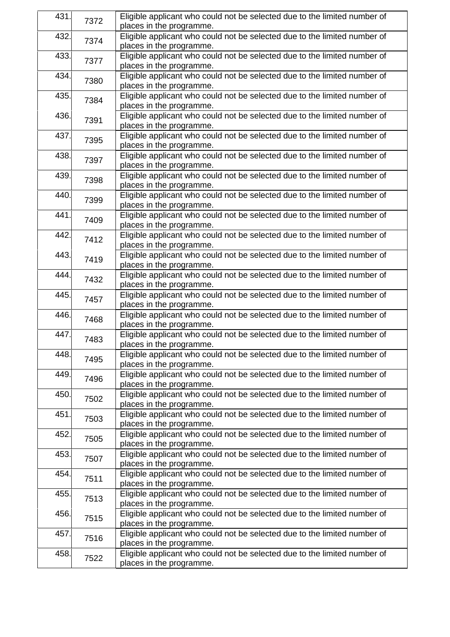| 431. | 7372 | Eligible applicant who could not be selected due to the limited number of<br>places in the programme. |
|------|------|-------------------------------------------------------------------------------------------------------|
| 432. | 7374 | Eligible applicant who could not be selected due to the limited number of<br>places in the programme. |
| 433. | 7377 | Eligible applicant who could not be selected due to the limited number of<br>places in the programme. |
| 434. | 7380 | Eligible applicant who could not be selected due to the limited number of<br>places in the programme. |
| 435. | 7384 | Eligible applicant who could not be selected due to the limited number of<br>places in the programme. |
| 436. | 7391 | Eligible applicant who could not be selected due to the limited number of<br>places in the programme. |
| 437. | 7395 | Eligible applicant who could not be selected due to the limited number of<br>places in the programme. |
| 438. | 7397 | Eligible applicant who could not be selected due to the limited number of<br>places in the programme. |
| 439. | 7398 | Eligible applicant who could not be selected due to the limited number of<br>places in the programme. |
| 440. | 7399 | Eligible applicant who could not be selected due to the limited number of<br>places in the programme. |
| 441. | 7409 | Eligible applicant who could not be selected due to the limited number of<br>places in the programme. |
| 442. | 7412 | Eligible applicant who could not be selected due to the limited number of<br>places in the programme. |
| 443. | 7419 | Eligible applicant who could not be selected due to the limited number of<br>places in the programme. |
| 444. | 7432 | Eligible applicant who could not be selected due to the limited number of<br>places in the programme. |
| 445. | 7457 | Eligible applicant who could not be selected due to the limited number of<br>places in the programme. |
| 446. | 7468 | Eligible applicant who could not be selected due to the limited number of<br>places in the programme. |
| 447. | 7483 | Eligible applicant who could not be selected due to the limited number of<br>places in the programme. |
| 448. | 7495 | Eligible applicant who could not be selected due to the limited number of<br>places in the programme. |
| 449. | 7496 | Eligible applicant who could not be selected due to the limited number of<br>places in the programme. |
| 450. | 7502 | Eligible applicant who could not be selected due to the limited number of<br>places in the programme. |
| 451. | 7503 | Eligible applicant who could not be selected due to the limited number of<br>places in the programme. |
| 452. | 7505 | Eligible applicant who could not be selected due to the limited number of<br>places in the programme. |
| 453. | 7507 | Eligible applicant who could not be selected due to the limited number of<br>places in the programme. |
| 454. | 7511 | Eligible applicant who could not be selected due to the limited number of<br>places in the programme. |
| 455. | 7513 | Eligible applicant who could not be selected due to the limited number of<br>places in the programme. |
| 456. | 7515 | Eligible applicant who could not be selected due to the limited number of<br>places in the programme. |
| 457. | 7516 | Eligible applicant who could not be selected due to the limited number of<br>places in the programme. |
| 458. | 7522 | Eligible applicant who could not be selected due to the limited number of<br>places in the programme. |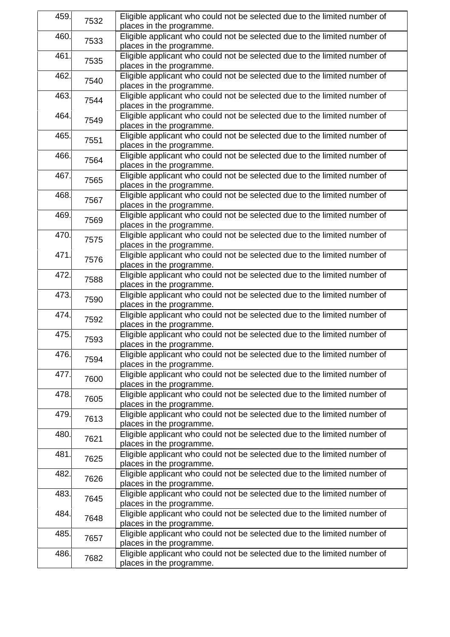| 459. | 7532 | Eligible applicant who could not be selected due to the limited number of<br>places in the programme. |
|------|------|-------------------------------------------------------------------------------------------------------|
| 460. | 7533 | Eligible applicant who could not be selected due to the limited number of<br>places in the programme. |
| 461. | 7535 | Eligible applicant who could not be selected due to the limited number of<br>places in the programme. |
| 462. | 7540 | Eligible applicant who could not be selected due to the limited number of<br>places in the programme. |
| 463. | 7544 | Eligible applicant who could not be selected due to the limited number of<br>places in the programme. |
| 464. | 7549 | Eligible applicant who could not be selected due to the limited number of<br>places in the programme. |
| 465. | 7551 | Eligible applicant who could not be selected due to the limited number of<br>places in the programme. |
| 466. | 7564 | Eligible applicant who could not be selected due to the limited number of<br>places in the programme. |
| 467. | 7565 | Eligible applicant who could not be selected due to the limited number of<br>places in the programme. |
| 468. | 7567 | Eligible applicant who could not be selected due to the limited number of<br>places in the programme. |
| 469. | 7569 | Eligible applicant who could not be selected due to the limited number of<br>places in the programme. |
| 470. | 7575 | Eligible applicant who could not be selected due to the limited number of<br>places in the programme. |
| 471. | 7576 | Eligible applicant who could not be selected due to the limited number of<br>places in the programme. |
| 472. | 7588 | Eligible applicant who could not be selected due to the limited number of<br>places in the programme. |
| 473. | 7590 | Eligible applicant who could not be selected due to the limited number of<br>places in the programme. |
| 474. | 7592 | Eligible applicant who could not be selected due to the limited number of<br>places in the programme. |
| 475. | 7593 | Eligible applicant who could not be selected due to the limited number of<br>places in the programme. |
| 476. | 7594 | Eligible applicant who could not be selected due to the limited number of<br>places in the programme. |
| 477. | 7600 | Eligible applicant who could not be selected due to the limited number of<br>places in the programme. |
| 478. | 7605 | Eligible applicant who could not be selected due to the limited number of<br>places in the programme. |
| 479. | 7613 | Eligible applicant who could not be selected due to the limited number of<br>places in the programme. |
| 480. | 7621 | Eligible applicant who could not be selected due to the limited number of<br>places in the programme. |
| 481. | 7625 | Eligible applicant who could not be selected due to the limited number of<br>places in the programme. |
| 482. | 7626 | Eligible applicant who could not be selected due to the limited number of<br>places in the programme. |
| 483. | 7645 | Eligible applicant who could not be selected due to the limited number of<br>places in the programme. |
| 484. | 7648 | Eligible applicant who could not be selected due to the limited number of<br>places in the programme. |
| 485. | 7657 | Eligible applicant who could not be selected due to the limited number of<br>places in the programme. |
| 486. | 7682 | Eligible applicant who could not be selected due to the limited number of<br>places in the programme. |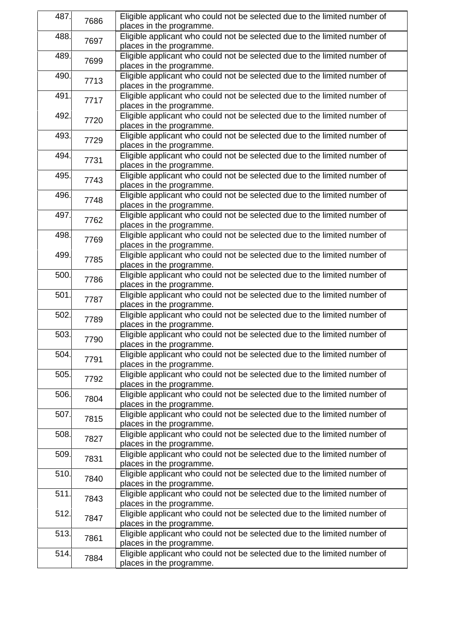| 487. | 7686 | Eligible applicant who could not be selected due to the limited number of |
|------|------|---------------------------------------------------------------------------|
|      |      | places in the programme.                                                  |
| 488. | 7697 | Eligible applicant who could not be selected due to the limited number of |
|      |      | places in the programme.                                                  |
| 489. | 7699 | Eligible applicant who could not be selected due to the limited number of |
|      |      | places in the programme.                                                  |
| 490. | 7713 | Eligible applicant who could not be selected due to the limited number of |
|      |      | places in the programme.                                                  |
| 491. |      | Eligible applicant who could not be selected due to the limited number of |
|      | 7717 | places in the programme.                                                  |
| 492. |      | Eligible applicant who could not be selected due to the limited number of |
|      | 7720 | places in the programme.                                                  |
| 493. |      | Eligible applicant who could not be selected due to the limited number of |
|      | 7729 | places in the programme.                                                  |
| 494. |      | Eligible applicant who could not be selected due to the limited number of |
|      | 7731 |                                                                           |
|      |      | places in the programme.                                                  |
| 495. | 7743 | Eligible applicant who could not be selected due to the limited number of |
|      |      | places in the programme.                                                  |
| 496. | 7748 | Eligible applicant who could not be selected due to the limited number of |
|      |      | places in the programme.                                                  |
| 497. | 7762 | Eligible applicant who could not be selected due to the limited number of |
|      |      | places in the programme.                                                  |
| 498. | 7769 | Eligible applicant who could not be selected due to the limited number of |
|      |      | places in the programme.                                                  |
| 499. | 7785 | Eligible applicant who could not be selected due to the limited number of |
|      |      | places in the programme.                                                  |
| 500. |      | Eligible applicant who could not be selected due to the limited number of |
|      | 7786 | places in the programme.                                                  |
| 501. |      | Eligible applicant who could not be selected due to the limited number of |
|      | 7787 | places in the programme.                                                  |
| 502. | 7789 | Eligible applicant who could not be selected due to the limited number of |
|      |      | places in the programme.                                                  |
| 503. |      | Eligible applicant who could not be selected due to the limited number of |
|      | 7790 | places in the programme.                                                  |
| 504. |      | Eligible applicant who could not be selected due to the limited number of |
|      | 7791 | places in the programme.                                                  |
|      |      |                                                                           |
| 505. | 7792 | Eligible applicant who could not be selected due to the limited number of |
|      |      | places in the programme.                                                  |
| 506. | 7804 | Eligible applicant who could not be selected due to the limited number of |
|      |      | places in the programme.                                                  |
| 507. | 7815 | Eligible applicant who could not be selected due to the limited number of |
|      |      | places in the programme.                                                  |
| 508. | 7827 | Eligible applicant who could not be selected due to the limited number of |
|      |      | places in the programme.                                                  |
| 509. | 7831 | Eligible applicant who could not be selected due to the limited number of |
|      |      | places in the programme.                                                  |
| 510. |      | Eligible applicant who could not be selected due to the limited number of |
|      | 7840 | places in the programme.                                                  |
| 511. |      | Eligible applicant who could not be selected due to the limited number of |
|      | 7843 | places in the programme.                                                  |
| 512. |      | Eligible applicant who could not be selected due to the limited number of |
|      | 7847 | places in the programme.                                                  |
| 513. | 7861 | Eligible applicant who could not be selected due to the limited number of |
|      |      | places in the programme.                                                  |
| 514. |      | Eligible applicant who could not be selected due to the limited number of |
|      | 7884 |                                                                           |
|      |      | places in the programme.                                                  |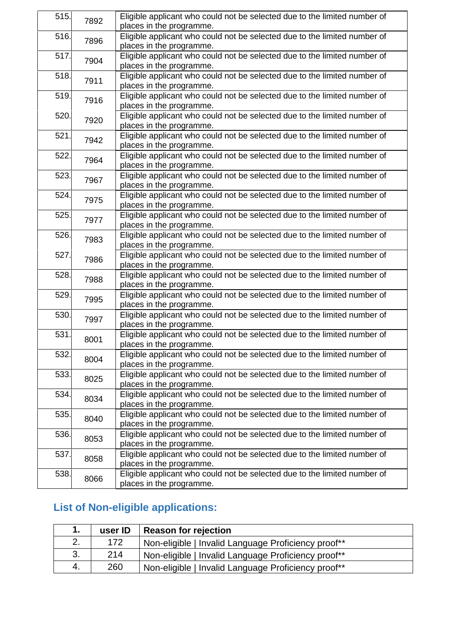| 515. | 7892 | Eligible applicant who could not be selected due to the limited number of                             |
|------|------|-------------------------------------------------------------------------------------------------------|
|      |      | places in the programme.                                                                              |
| 516. | 7896 | Eligible applicant who could not be selected due to the limited number of<br>places in the programme. |
|      |      |                                                                                                       |
| 517. | 7904 | Eligible applicant who could not be selected due to the limited number of<br>places in the programme. |
|      |      |                                                                                                       |
| 518. | 7911 | Eligible applicant who could not be selected due to the limited number of<br>places in the programme. |
| 519. |      | Eligible applicant who could not be selected due to the limited number of                             |
|      | 7916 | places in the programme.                                                                              |
| 520. |      | Eligible applicant who could not be selected due to the limited number of                             |
|      | 7920 | places in the programme.                                                                              |
| 521. |      | Eligible applicant who could not be selected due to the limited number of                             |
|      | 7942 | places in the programme.                                                                              |
| 522. |      | Eligible applicant who could not be selected due to the limited number of                             |
|      | 7964 | places in the programme.                                                                              |
| 523. |      | Eligible applicant who could not be selected due to the limited number of                             |
|      | 7967 | places in the programme.                                                                              |
| 524. |      | Eligible applicant who could not be selected due to the limited number of                             |
|      | 7975 | places in the programme.                                                                              |
| 525. |      | Eligible applicant who could not be selected due to the limited number of                             |
|      | 7977 | places in the programme.                                                                              |
| 526. |      | Eligible applicant who could not be selected due to the limited number of                             |
|      | 7983 | places in the programme.                                                                              |
| 527. |      | Eligible applicant who could not be selected due to the limited number of                             |
|      | 7986 | places in the programme.                                                                              |
| 528. |      | Eligible applicant who could not be selected due to the limited number of                             |
|      | 7988 | places in the programme.                                                                              |
| 529. |      | Eligible applicant who could not be selected due to the limited number of                             |
|      | 7995 | places in the programme.                                                                              |
| 530. |      | Eligible applicant who could not be selected due to the limited number of                             |
|      | 7997 | places in the programme.                                                                              |
| 531. |      | Eligible applicant who could not be selected due to the limited number of                             |
|      | 8001 | places in the programme.                                                                              |
| 532. |      | Eligible applicant who could not be selected due to the limited number of                             |
|      | 8004 | places in the programme.                                                                              |
| 533. |      | Eligible applicant who could not be selected due to the limited number of                             |
|      | 8025 | places in the programme.                                                                              |
| 534. | 8034 | Eligible applicant who could not be selected due to the limited number of                             |
|      |      | places in the programme.                                                                              |
| 535. | 8040 | Eligible applicant who could not be selected due to the limited number of                             |
|      |      | places in the programme.                                                                              |
| 536. | 8053 | Eligible applicant who could not be selected due to the limited number of                             |
|      |      | places in the programme.                                                                              |
| 537. | 8058 | Eligible applicant who could not be selected due to the limited number of                             |
|      |      | places in the programme.                                                                              |
| 538. | 8066 | Eligible applicant who could not be selected due to the limited number of                             |
|      |      | places in the programme.                                                                              |

# **List of Non-eligible applications:**

| 1.  | user ID | Reason for rejection                                |
|-----|---------|-----------------------------------------------------|
| 2.  | 172     | Non-eligible   Invalid Language Proficiency proof** |
| 3.  | 214     | Non-eligible   Invalid Language Proficiency proof** |
| -4. | 260     | Non-eligible   Invalid Language Proficiency proof** |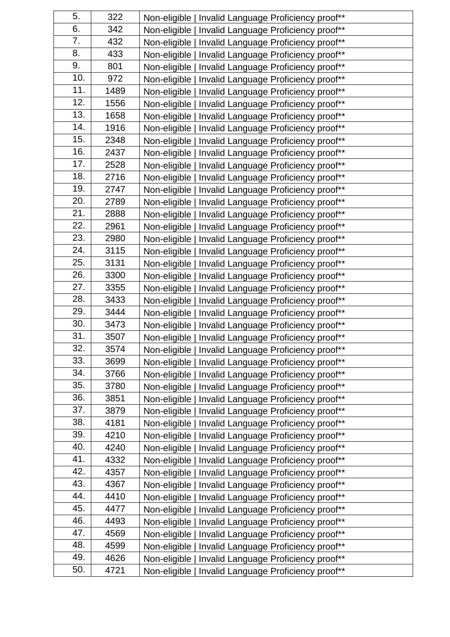| 5.  | 322  | Non-eligible   Invalid Language Proficiency proof** |
|-----|------|-----------------------------------------------------|
| 6.  | 342  | Non-eligible   Invalid Language Proficiency proof** |
| 7.  | 432  | Non-eligible   Invalid Language Proficiency proof** |
| 8.  | 433  | Non-eligible   Invalid Language Proficiency proof** |
| 9.  | 801  | Non-eligible   Invalid Language Proficiency proof** |
| 10. | 972  | Non-eligible   Invalid Language Proficiency proof** |
| 11. | 1489 | Non-eligible   Invalid Language Proficiency proof** |
| 12. | 1556 | Non-eligible   Invalid Language Proficiency proof** |
| 13. | 1658 | Non-eligible   Invalid Language Proficiency proof** |
| 14. | 1916 | Non-eligible   Invalid Language Proficiency proof** |
| 15. | 2348 | Non-eligible   Invalid Language Proficiency proof** |
| 16. | 2437 | Non-eligible   Invalid Language Proficiency proof** |
| 17. | 2528 | Non-eligible   Invalid Language Proficiency proof** |
| 18. | 2716 | Non-eligible   Invalid Language Proficiency proof** |
| 19. | 2747 | Non-eligible   Invalid Language Proficiency proof** |
| 20. | 2789 | Non-eligible   Invalid Language Proficiency proof** |
| 21. | 2888 | Non-eligible   Invalid Language Proficiency proof** |
| 22. | 2961 | Non-eligible   Invalid Language Proficiency proof** |
| 23. | 2980 | Non-eligible   Invalid Language Proficiency proof** |
| 24. | 3115 | Non-eligible   Invalid Language Proficiency proof** |
| 25. | 3131 | Non-eligible   Invalid Language Proficiency proof** |
| 26. | 3300 | Non-eligible   Invalid Language Proficiency proof** |
| 27. | 3355 | Non-eligible   Invalid Language Proficiency proof** |
| 28. | 3433 | Non-eligible   Invalid Language Proficiency proof** |
| 29. | 3444 | Non-eligible   Invalid Language Proficiency proof** |
| 30. | 3473 | Non-eligible   Invalid Language Proficiency proof** |
| 31. | 3507 | Non-eligible   Invalid Language Proficiency proof** |
| 32. | 3574 | Non-eligible   Invalid Language Proficiency proof** |
| 33. | 3699 | Non-eligible   Invalid Language Proficiency proof** |
| 34. | 3766 | Non-eligible   Invalid Language Proficiency proof** |
| 35. | 3780 | Non-eligible   Invalid Language Proficiency proof** |
| 36. | 3851 | Non-eligible   Invalid Language Proficiency proof** |
| 37. | 3879 | Non-eligible   Invalid Language Proficiency proof** |
| 38. | 4181 | Non-eligible   Invalid Language Proficiency proof** |
| 39. | 4210 | Non-eligible   Invalid Language Proficiency proof** |
| 40. | 4240 | Non-eligible   Invalid Language Proficiency proof** |
| 41. | 4332 | Non-eligible   Invalid Language Proficiency proof** |
| 42. | 4357 | Non-eligible   Invalid Language Proficiency proof** |
| 43. | 4367 | Non-eligible   Invalid Language Proficiency proof** |
| 44. | 4410 | Non-eligible   Invalid Language Proficiency proof** |
| 45. | 4477 | Non-eligible   Invalid Language Proficiency proof** |
| 46. | 4493 | Non-eligible   Invalid Language Proficiency proof** |
| 47. | 4569 | Non-eligible   Invalid Language Proficiency proof** |
| 48. | 4599 | Non-eligible   Invalid Language Proficiency proof** |
| 49. | 4626 | Non-eligible   Invalid Language Proficiency proof** |
| 50. | 4721 | Non-eligible   Invalid Language Proficiency proof** |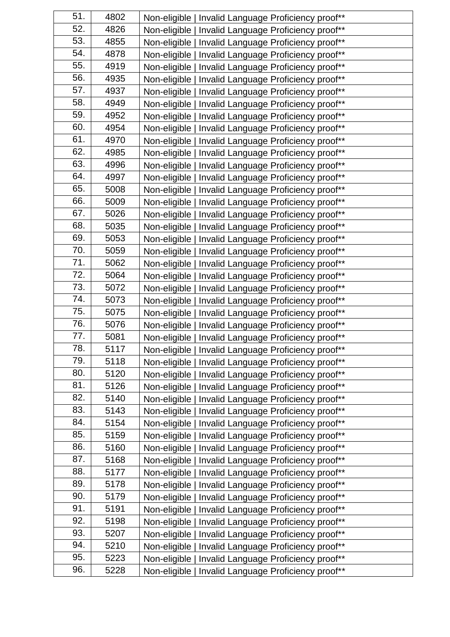| 51. | 4802 | Non-eligible   Invalid Language Proficiency proof** |
|-----|------|-----------------------------------------------------|
| 52. | 4826 | Non-eligible   Invalid Language Proficiency proof** |
| 53. | 4855 | Non-eligible   Invalid Language Proficiency proof** |
| 54. | 4878 | Non-eligible   Invalid Language Proficiency proof** |
| 55. | 4919 | Non-eligible   Invalid Language Proficiency proof** |
| 56. | 4935 | Non-eligible   Invalid Language Proficiency proof** |
| 57. | 4937 | Non-eligible   Invalid Language Proficiency proof** |
| 58. | 4949 | Non-eligible   Invalid Language Proficiency proof** |
| 59. | 4952 | Non-eligible   Invalid Language Proficiency proof** |
| 60. | 4954 | Non-eligible   Invalid Language Proficiency proof** |
| 61. | 4970 | Non-eligible   Invalid Language Proficiency proof** |
| 62. | 4985 | Non-eligible   Invalid Language Proficiency proof** |
| 63. | 4996 | Non-eligible   Invalid Language Proficiency proof** |
| 64. | 4997 | Non-eligible   Invalid Language Proficiency proof** |
| 65. | 5008 | Non-eligible   Invalid Language Proficiency proof** |
| 66. | 5009 | Non-eligible   Invalid Language Proficiency proof** |
| 67. | 5026 | Non-eligible   Invalid Language Proficiency proof** |
| 68. | 5035 | Non-eligible   Invalid Language Proficiency proof** |
| 69. | 5053 | Non-eligible   Invalid Language Proficiency proof** |
| 70. | 5059 | Non-eligible   Invalid Language Proficiency proof** |
| 71. | 5062 | Non-eligible   Invalid Language Proficiency proof** |
| 72. | 5064 | Non-eligible   Invalid Language Proficiency proof** |
| 73. | 5072 | Non-eligible   Invalid Language Proficiency proof** |
| 74. | 5073 | Non-eligible   Invalid Language Proficiency proof** |
| 75. | 5075 | Non-eligible   Invalid Language Proficiency proof** |
| 76. | 5076 | Non-eligible   Invalid Language Proficiency proof** |
| 77. | 5081 | Non-eligible   Invalid Language Proficiency proof** |
| 78. | 5117 | Non-eligible   Invalid Language Proficiency proof** |
| 79. | 5118 | Non-eligible   Invalid Language Proficiency proof** |
| 80. | 5120 | Non-eligible   Invalid Language Proficiency proof** |
| 81. | 5126 | Non-eligible   Invalid Language Proficiency proof** |
| 82. | 5140 | Non-eligible   Invalid Language Proficiency proof** |
| 83. | 5143 | Non-eligible   Invalid Language Proficiency proof** |
| 84. | 5154 | Non-eligible   Invalid Language Proficiency proof** |
| 85. | 5159 | Non-eligible   Invalid Language Proficiency proof** |
| 86. | 5160 | Non-eligible   Invalid Language Proficiency proof** |
| 87. | 5168 | Non-eligible   Invalid Language Proficiency proof** |
| 88. | 5177 | Non-eligible   Invalid Language Proficiency proof** |
| 89. | 5178 | Non-eligible   Invalid Language Proficiency proof** |
| 90. | 5179 | Non-eligible   Invalid Language Proficiency proof** |
| 91. | 5191 | Non-eligible   Invalid Language Proficiency proof** |
| 92. | 5198 | Non-eligible   Invalid Language Proficiency proof** |
| 93. | 5207 | Non-eligible   Invalid Language Proficiency proof** |
| 94. | 5210 | Non-eligible   Invalid Language Proficiency proof** |
| 95. | 5223 | Non-eligible   Invalid Language Proficiency proof** |
| 96. | 5228 | Non-eligible   Invalid Language Proficiency proof** |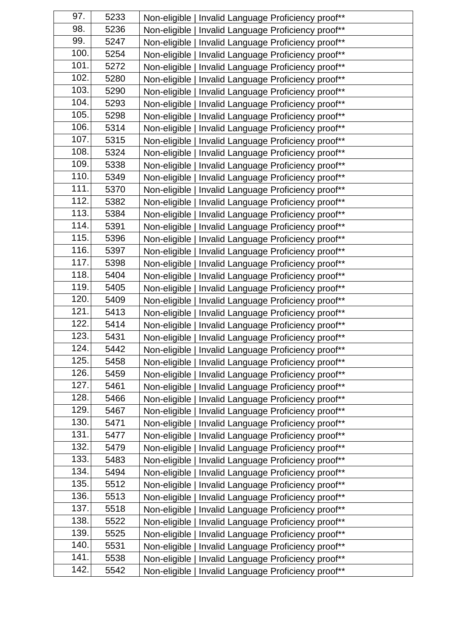| 97.  | 5233 | Non-eligible   Invalid Language Proficiency proof** |
|------|------|-----------------------------------------------------|
| 98.  | 5236 | Non-eligible   Invalid Language Proficiency proof** |
| 99.  | 5247 | Non-eligible   Invalid Language Proficiency proof** |
| 100. | 5254 | Non-eligible   Invalid Language Proficiency proof** |
| 101. | 5272 | Non-eligible   Invalid Language Proficiency proof** |
| 102. | 5280 | Non-eligible   Invalid Language Proficiency proof** |
| 103. | 5290 | Non-eligible   Invalid Language Proficiency proof** |
| 104. | 5293 | Non-eligible   Invalid Language Proficiency proof** |
| 105. | 5298 | Non-eligible   Invalid Language Proficiency proof** |
| 106. | 5314 | Non-eligible   Invalid Language Proficiency proof** |
| 107. | 5315 | Non-eligible   Invalid Language Proficiency proof** |
| 108. | 5324 | Non-eligible   Invalid Language Proficiency proof** |
| 109. | 5338 | Non-eligible   Invalid Language Proficiency proof** |
| 110. | 5349 | Non-eligible   Invalid Language Proficiency proof** |
| 111. | 5370 | Non-eligible   Invalid Language Proficiency proof** |
| 112. | 5382 | Non-eligible   Invalid Language Proficiency proof** |
| 113. | 5384 | Non-eligible   Invalid Language Proficiency proof** |
| 114. | 5391 | Non-eligible   Invalid Language Proficiency proof** |
| 115. | 5396 | Non-eligible   Invalid Language Proficiency proof** |
| 116. | 5397 | Non-eligible   Invalid Language Proficiency proof** |
| 117. | 5398 | Non-eligible   Invalid Language Proficiency proof** |
| 118. | 5404 | Non-eligible   Invalid Language Proficiency proof** |
| 119. | 5405 | Non-eligible   Invalid Language Proficiency proof** |
| 120. | 5409 | Non-eligible   Invalid Language Proficiency proof** |
| 121. | 5413 | Non-eligible   Invalid Language Proficiency proof** |
| 122. | 5414 | Non-eligible   Invalid Language Proficiency proof** |
| 123. | 5431 | Non-eligible   Invalid Language Proficiency proof** |
| 124. | 5442 | Non-eligible   Invalid Language Proficiency proof** |
| 125. | 5458 | Non-eligible   Invalid Language Proficiency proof** |
| 126. | 5459 | Non-eligible   Invalid Language Proficiency proof** |
| 127. | 5461 | Non-eligible   Invalid Language Proficiency proof** |
| 128. | 5466 | Non-eligible   Invalid Language Proficiency proof** |
| 129. | 5467 | Non-eligible   Invalid Language Proficiency proof** |
| 130. | 5471 | Non-eligible   Invalid Language Proficiency proof** |
| 131. | 5477 | Non-eligible   Invalid Language Proficiency proof** |
| 132. | 5479 | Non-eligible   Invalid Language Proficiency proof** |
| 133. | 5483 | Non-eligible   Invalid Language Proficiency proof** |
| 134. | 5494 | Non-eligible   Invalid Language Proficiency proof** |
| 135. | 5512 | Non-eligible   Invalid Language Proficiency proof** |
| 136. | 5513 | Non-eligible   Invalid Language Proficiency proof** |
| 137. | 5518 | Non-eligible   Invalid Language Proficiency proof** |
| 138. | 5522 | Non-eligible   Invalid Language Proficiency proof** |
| 139. | 5525 | Non-eligible   Invalid Language Proficiency proof** |
| 140. | 5531 | Non-eligible   Invalid Language Proficiency proof** |
| 141. | 5538 | Non-eligible   Invalid Language Proficiency proof** |
| 142. | 5542 | Non-eligible   Invalid Language Proficiency proof** |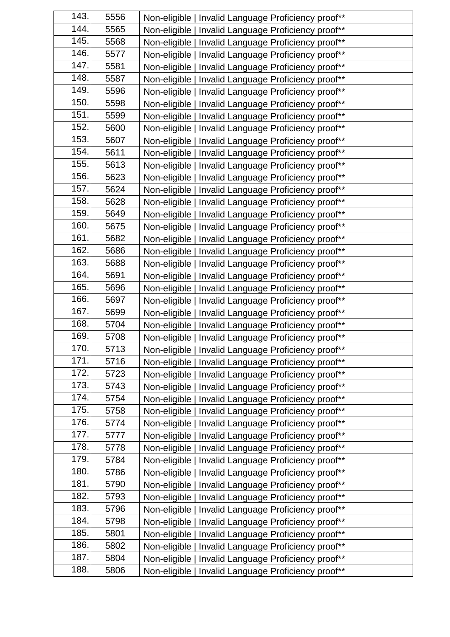| 143. | 5556 | Non-eligible   Invalid Language Proficiency proof**    |
|------|------|--------------------------------------------------------|
| 144. | 5565 | Non-eligible   Invalid Language Proficiency proof**    |
| 145. | 5568 | Non-eligible   Invalid Language Proficiency proof**    |
| 146. | 5577 | Non-eligible   Invalid Language Proficiency proof**    |
| 147. | 5581 | Non-eligible   Invalid Language Proficiency proof**    |
| 148. | 5587 | Non-eligible   Invalid Language Proficiency proof**    |
| 149. | 5596 | Non-eligible   Invalid Language Proficiency proof**    |
| 150. | 5598 | Non-eligible   Invalid Language Proficiency proof**    |
| 151. | 5599 | Non-eligible   Invalid Language Proficiency proof**    |
| 152. | 5600 | Non-eligible   Invalid Language Proficiency proof**    |
| 153. | 5607 | Non-eligible   Invalid Language Proficiency proof**    |
| 154. | 5611 | Non-eligible   Invalid Language Proficiency proof**    |
| 155. | 5613 | Non-eligible   Invalid Language Proficiency proof**    |
| 156. | 5623 | Non-eligible   Invalid Language Proficiency proof**    |
| 157. | 5624 | Non-eligible   Invalid Language Proficiency proof**    |
| 158. | 5628 | Non-eligible   Invalid Language Proficiency proof**    |
| 159. | 5649 | Non-eligible   Invalid Language Proficiency proof**    |
| 160. | 5675 | Non-eligible   Invalid Language Proficiency proof**    |
| 161. | 5682 | Non-eligible   Invalid Language Proficiency proof**    |
| 162. | 5686 | Non-eligible   Invalid Language Proficiency proof**    |
| 163. | 5688 | Non-eligible   Invalid Language Proficiency proof**    |
| 164. | 5691 | Non-eligible   Invalid Language Proficiency proof**    |
| 165. | 5696 | Non-eligible   Invalid Language Proficiency proof**    |
| 166. | 5697 | Non-eligible   Invalid Language Proficiency proof**    |
| 167. | 5699 | Non-eligible   Invalid Language Proficiency proof**    |
| 168. | 5704 | Non-eligible   Invalid Language Proficiency proof**    |
| 169. | 5708 | Non-eligible   Invalid Language Proficiency proof**    |
| 170. | 5713 | Non-eligible   Invalid Language Proficiency proof**    |
| 171. | 5716 | Non-eligible   Invalid Language Proficiency proof**    |
| 172. | 5723 | Non-eligible   Invalid Language Proficiency proof**    |
| 173. | 5743 | Non-eligible   Invalid Language Proficiency proof**    |
| 174. | 5754 | Non-eligible   Invalid Language Proficiency proof**    |
| 175. | 5758 | Non-eligible  <br>Invalid Language Proficiency proof** |
| 176. | 5774 | Non-eligible  <br>Invalid Language Proficiency proof** |
| 177. | 5777 | Non-eligible  <br>Invalid Language Proficiency proof** |
| 178. | 5778 | Non-eligible  <br>Invalid Language Proficiency proof** |
| 179. | 5784 | Non-eligible  <br>Invalid Language Proficiency proof** |
| 180. | 5786 | Non-eligible  <br>Invalid Language Proficiency proof** |
| 181. | 5790 | Non-eligible  <br>Invalid Language Proficiency proof** |
| 182. | 5793 | Non-eligible  <br>Invalid Language Proficiency proof** |
| 183. | 5796 | Non-eligible  <br>Invalid Language Proficiency proof** |
| 184. | 5798 | Non-eligible  <br>Invalid Language Proficiency proof** |
| 185. | 5801 | Non-eligible  <br>Invalid Language Proficiency proof** |
| 186. | 5802 | Non-eligible  <br>Invalid Language Proficiency proof** |
| 187. | 5804 | Non-eligible  <br>Invalid Language Proficiency proof** |
| 188. | 5806 | Non-eligible  <br>Invalid Language Proficiency proof** |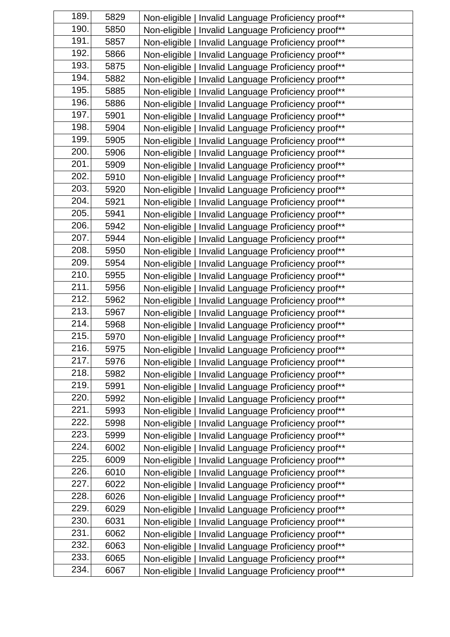| 189.               | 5829 | Non-eligible   Invalid Language Proficiency proof**    |
|--------------------|------|--------------------------------------------------------|
| 190.               | 5850 | Non-eligible   Invalid Language Proficiency proof**    |
| 191.               | 5857 | Non-eligible   Invalid Language Proficiency proof**    |
| 192.               | 5866 | Non-eligible   Invalid Language Proficiency proof**    |
| 193.               | 5875 | Non-eligible   Invalid Language Proficiency proof**    |
| 194.               | 5882 | Non-eligible   Invalid Language Proficiency proof**    |
| 195.               | 5885 | Non-eligible   Invalid Language Proficiency proof**    |
| 196.               | 5886 | Non-eligible   Invalid Language Proficiency proof**    |
| 197.               | 5901 | Non-eligible   Invalid Language Proficiency proof**    |
| 198.               | 5904 | Non-eligible   Invalid Language Proficiency proof**    |
| 199.               | 5905 | Non-eligible   Invalid Language Proficiency proof**    |
| 200.               | 5906 | Non-eligible   Invalid Language Proficiency proof**    |
| 201.               | 5909 | Non-eligible   Invalid Language Proficiency proof**    |
| 202.               | 5910 | Non-eligible   Invalid Language Proficiency proof**    |
| 203.               | 5920 | Non-eligible   Invalid Language Proficiency proof**    |
| 204.               | 5921 | Non-eligible   Invalid Language Proficiency proof**    |
| 205.               | 5941 | Non-eligible   Invalid Language Proficiency proof**    |
| 206.               | 5942 | Non-eligible   Invalid Language Proficiency proof**    |
| 207.               | 5944 | Non-eligible   Invalid Language Proficiency proof**    |
| 208.               | 5950 | Non-eligible   Invalid Language Proficiency proof**    |
| $\overline{209}$ . | 5954 | Non-eligible   Invalid Language Proficiency proof**    |
| 210.               | 5955 | Non-eligible   Invalid Language Proficiency proof**    |
| 211.               | 5956 | Non-eligible   Invalid Language Proficiency proof**    |
| 212.               | 5962 | Non-eligible   Invalid Language Proficiency proof**    |
| 213.               | 5967 | Non-eligible   Invalid Language Proficiency proof**    |
| 214.               | 5968 | Non-eligible   Invalid Language Proficiency proof**    |
| 215.               | 5970 | Non-eligible   Invalid Language Proficiency proof**    |
| 216.               | 5975 | Non-eligible   Invalid Language Proficiency proof**    |
| 217.               | 5976 | Non-eligible   Invalid Language Proficiency proof**    |
| 218.               | 5982 | Non-eligible   Invalid Language Proficiency proof**    |
| 219.               | 5991 | Non-eligible   Invalid Language Proficiency proof**    |
| 220.               | 5992 | Non-eligible   Invalid Language Proficiency proof**    |
| 221.               | 5993 | Non-eligible  <br>Invalid Language Proficiency proof** |
| 222.               | 5998 | Non-eligible  <br>Invalid Language Proficiency proof** |
| 223.               | 5999 | Non-eligible  <br>Invalid Language Proficiency proof** |
| 224.               | 6002 | Non-eligible  <br>Invalid Language Proficiency proof** |
| 225.               | 6009 | Non-eligible  <br>Invalid Language Proficiency proof** |
| 226.               | 6010 | Non-eligible  <br>Invalid Language Proficiency proof** |
| 227.               | 6022 | Non-eligible  <br>Invalid Language Proficiency proof** |
| 228.               | 6026 | Non-eligible  <br>Invalid Language Proficiency proof** |
| 229.               | 6029 | Non-eligible  <br>Invalid Language Proficiency proof** |
| 230.               | 6031 | Non-eligible  <br>Invalid Language Proficiency proof** |
| 231.               | 6062 | Non-eligible  <br>Invalid Language Proficiency proof** |
| 232.               | 6063 | Non-eligible  <br>Invalid Language Proficiency proof** |
| 233.               | 6065 | Non-eligible  <br>Invalid Language Proficiency proof** |
| 234.               | 6067 | Non-eligible  <br>Invalid Language Proficiency proof** |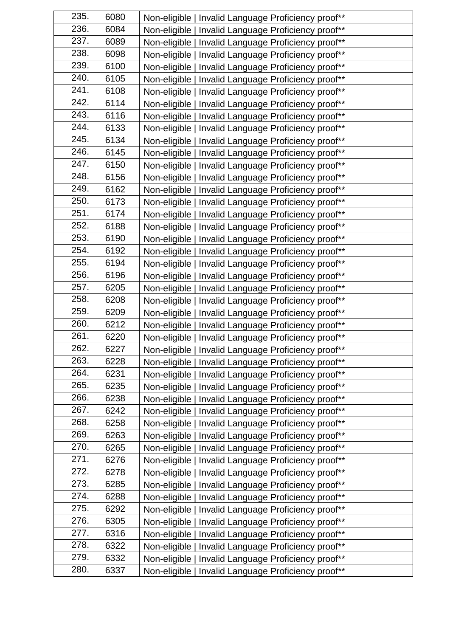| 235. | 6080 | Non-eligible   Invalid Language Proficiency proof**    |
|------|------|--------------------------------------------------------|
| 236. | 6084 | Non-eligible   Invalid Language Proficiency proof**    |
| 237. | 6089 | Non-eligible   Invalid Language Proficiency proof**    |
| 238. | 6098 | Non-eligible   Invalid Language Proficiency proof**    |
| 239. | 6100 | Non-eligible   Invalid Language Proficiency proof**    |
| 240. | 6105 | Non-eligible   Invalid Language Proficiency proof**    |
| 241. | 6108 | Non-eligible   Invalid Language Proficiency proof**    |
| 242. | 6114 | Non-eligible   Invalid Language Proficiency proof**    |
| 243. | 6116 | Non-eligible   Invalid Language Proficiency proof**    |
| 244. | 6133 | Non-eligible   Invalid Language Proficiency proof**    |
| 245. | 6134 | Non-eligible   Invalid Language Proficiency proof**    |
| 246. | 6145 | Non-eligible   Invalid Language Proficiency proof**    |
| 247. | 6150 | Non-eligible   Invalid Language Proficiency proof**    |
| 248. | 6156 | Non-eligible   Invalid Language Proficiency proof**    |
| 249. | 6162 | Non-eligible   Invalid Language Proficiency proof**    |
| 250. | 6173 | Non-eligible   Invalid Language Proficiency proof**    |
| 251. | 6174 | Non-eligible   Invalid Language Proficiency proof**    |
| 252. | 6188 | Non-eligible   Invalid Language Proficiency proof**    |
| 253. | 6190 | Non-eligible   Invalid Language Proficiency proof**    |
| 254. | 6192 | Non-eligible   Invalid Language Proficiency proof**    |
| 255. | 6194 | Non-eligible   Invalid Language Proficiency proof**    |
| 256. | 6196 | Non-eligible   Invalid Language Proficiency proof**    |
| 257. | 6205 | Non-eligible   Invalid Language Proficiency proof**    |
| 258. | 6208 | Non-eligible   Invalid Language Proficiency proof**    |
| 259. | 6209 | Non-eligible   Invalid Language Proficiency proof**    |
| 260. | 6212 | Non-eligible   Invalid Language Proficiency proof**    |
| 261. | 6220 | Non-eligible   Invalid Language Proficiency proof**    |
| 262. | 6227 | Non-eligible   Invalid Language Proficiency proof**    |
| 263. | 6228 | Non-eligible   Invalid Language Proficiency proof**    |
| 264. | 6231 | Non-eligible   Invalid Language Proficiency proof**    |
| 265. | 6235 | Non-eligible   Invalid Language Proficiency proof**    |
| 266. | 6238 | Non-eligible  <br>Invalid Language Proficiency proof** |
| 267. | 6242 | Non-eligible  <br>Invalid Language Proficiency proof** |
| 268. | 6258 | Non-eligible  <br>Invalid Language Proficiency proof** |
| 269. | 6263 | Non-eligible  <br>Invalid Language Proficiency proof** |
| 270. | 6265 | Non-eligible  <br>Invalid Language Proficiency proof** |
| 271. | 6276 | Non-eligible  <br>Invalid Language Proficiency proof** |
| 272. | 6278 | Non-eligible  <br>Invalid Language Proficiency proof** |
| 273. | 6285 | Non-eligible  <br>Invalid Language Proficiency proof** |
| 274. | 6288 | Non-eligible  <br>Invalid Language Proficiency proof** |
| 275. | 6292 | Non-eligible  <br>Invalid Language Proficiency proof** |
| 276. | 6305 | Non-eligible  <br>Invalid Language Proficiency proof** |
| 277. | 6316 | Non-eligible  <br>Invalid Language Proficiency proof** |
| 278. | 6322 | Non-eligible  <br>Invalid Language Proficiency proof** |
| 279. | 6332 | Non-eligible  <br>Invalid Language Proficiency proof** |
| 280. | 6337 | Invalid Language Proficiency proof**<br>Non-eligible   |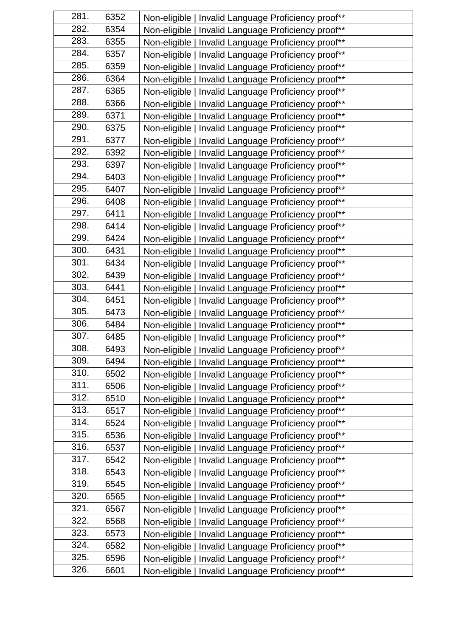| 281. | 6352 | Non-eligible   Invalid Language Proficiency proof**    |
|------|------|--------------------------------------------------------|
| 282. | 6354 | Non-eligible   Invalid Language Proficiency proof**    |
| 283. | 6355 | Non-eligible   Invalid Language Proficiency proof**    |
| 284. | 6357 | Non-eligible   Invalid Language Proficiency proof**    |
| 285. | 6359 | Non-eligible   Invalid Language Proficiency proof**    |
| 286. | 6364 | Non-eligible   Invalid Language Proficiency proof**    |
| 287. | 6365 | Non-eligible   Invalid Language Proficiency proof**    |
| 288. | 6366 | Non-eligible   Invalid Language Proficiency proof**    |
| 289. | 6371 | Non-eligible   Invalid Language Proficiency proof**    |
| 290. | 6375 | Non-eligible   Invalid Language Proficiency proof**    |
| 291. | 6377 | Non-eligible   Invalid Language Proficiency proof**    |
| 292. | 6392 | Non-eligible   Invalid Language Proficiency proof**    |
| 293. | 6397 | Non-eligible   Invalid Language Proficiency proof**    |
| 294. | 6403 | Non-eligible   Invalid Language Proficiency proof**    |
| 295. | 6407 | Non-eligible   Invalid Language Proficiency proof**    |
| 296. | 6408 | Non-eligible   Invalid Language Proficiency proof**    |
| 297. | 6411 | Non-eligible   Invalid Language Proficiency proof**    |
| 298. | 6414 | Non-eligible   Invalid Language Proficiency proof**    |
| 299. | 6424 | Non-eligible   Invalid Language Proficiency proof**    |
| 300. | 6431 | Non-eligible   Invalid Language Proficiency proof**    |
| 301. | 6434 | Non-eligible   Invalid Language Proficiency proof**    |
| 302. | 6439 | Non-eligible   Invalid Language Proficiency proof**    |
| 303. | 6441 | Non-eligible   Invalid Language Proficiency proof**    |
| 304. | 6451 | Non-eligible   Invalid Language Proficiency proof**    |
| 305. | 6473 | Non-eligible   Invalid Language Proficiency proof**    |
| 306. | 6484 | Non-eligible   Invalid Language Proficiency proof**    |
| 307. | 6485 | Non-eligible   Invalid Language Proficiency proof**    |
| 308. | 6493 | Non-eligible   Invalid Language Proficiency proof**    |
| 309. | 6494 | Non-eligible   Invalid Language Proficiency proof**    |
| 310. | 6502 | Non-eligible   Invalid Language Proficiency proof**    |
| 311. | 6506 | Non-eligible   Invalid Language Proficiency proof**    |
| 312. | 6510 | Non-eligible   Invalid Language Proficiency proof**    |
| 313. | 6517 | Non-eligible  <br>Invalid Language Proficiency proof** |
| 314. | 6524 | Non-eligible  <br>Invalid Language Proficiency proof** |
| 315. | 6536 | Non-eligible  <br>Invalid Language Proficiency proof** |
| 316. | 6537 | Non-eligible  <br>Invalid Language Proficiency proof** |
| 317. | 6542 | Non-eligible  <br>Invalid Language Proficiency proof** |
| 318. | 6543 | Non-eligible  <br>Invalid Language Proficiency proof** |
| 319. | 6545 | Non-eligible  <br>Invalid Language Proficiency proof** |
| 320. | 6565 | Non-eligible  <br>Invalid Language Proficiency proof** |
| 321. | 6567 | Non-eligible  <br>Invalid Language Proficiency proof** |
| 322. | 6568 | Non-eligible  <br>Invalid Language Proficiency proof** |
| 323. | 6573 | Non-eligible  <br>Invalid Language Proficiency proof** |
| 324. | 6582 | Non-eligible  <br>Invalid Language Proficiency proof** |
| 325. | 6596 | Non-eligible  <br>Invalid Language Proficiency proof** |
| 326. | 6601 | Non-eligible  <br>Invalid Language Proficiency proof** |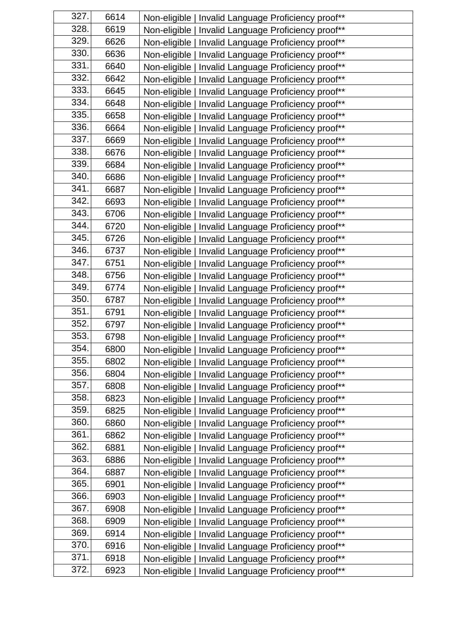| 327. | 6614 | Non-eligible   Invalid Language Proficiency proof** |
|------|------|-----------------------------------------------------|
| 328. | 6619 | Non-eligible   Invalid Language Proficiency proof** |
| 329. | 6626 | Non-eligible   Invalid Language Proficiency proof** |
| 330. | 6636 | Non-eligible   Invalid Language Proficiency proof** |
| 331. | 6640 | Non-eligible   Invalid Language Proficiency proof** |
| 332. | 6642 | Non-eligible   Invalid Language Proficiency proof** |
| 333. | 6645 | Non-eligible   Invalid Language Proficiency proof** |
| 334. | 6648 | Non-eligible   Invalid Language Proficiency proof** |
| 335. | 6658 | Non-eligible   Invalid Language Proficiency proof** |
| 336. | 6664 | Non-eligible   Invalid Language Proficiency proof** |
| 337. | 6669 | Non-eligible   Invalid Language Proficiency proof** |
| 338. | 6676 | Non-eligible   Invalid Language Proficiency proof** |
| 339. | 6684 | Non-eligible   Invalid Language Proficiency proof** |
| 340. | 6686 | Non-eligible   Invalid Language Proficiency proof** |
| 341. | 6687 | Non-eligible   Invalid Language Proficiency proof** |
| 342. | 6693 | Non-eligible   Invalid Language Proficiency proof** |
| 343. | 6706 | Non-eligible   Invalid Language Proficiency proof** |
| 344. | 6720 | Non-eligible   Invalid Language Proficiency proof** |
| 345. | 6726 | Non-eligible   Invalid Language Proficiency proof** |
| 346. | 6737 | Non-eligible   Invalid Language Proficiency proof** |
| 347. | 6751 | Non-eligible   Invalid Language Proficiency proof** |
| 348. | 6756 | Non-eligible   Invalid Language Proficiency proof** |
| 349. | 6774 | Non-eligible   Invalid Language Proficiency proof** |
| 350. | 6787 | Non-eligible   Invalid Language Proficiency proof** |
| 351. | 6791 | Non-eligible   Invalid Language Proficiency proof** |
| 352. | 6797 | Non-eligible   Invalid Language Proficiency proof** |
| 353. | 6798 | Non-eligible   Invalid Language Proficiency proof** |
| 354. | 6800 | Non-eligible   Invalid Language Proficiency proof** |
| 355. | 6802 | Non-eligible   Invalid Language Proficiency proof** |
| 356. | 6804 | Non-eligible   Invalid Language Proficiency proof** |
| 357. | 6808 | Non-eligible   Invalid Language Proficiency proof** |
| 358. | 6823 | Non-eligible   Invalid Language Proficiency proof** |
| 359. | 6825 | Non-eligible   Invalid Language Proficiency proof** |
| 360. | 6860 | Non-eligible   Invalid Language Proficiency proof** |
| 361. | 6862 | Non-eligible   Invalid Language Proficiency proof** |
| 362. | 6881 | Non-eligible   Invalid Language Proficiency proof** |
| 363. | 6886 | Non-eligible   Invalid Language Proficiency proof** |
| 364. | 6887 | Non-eligible   Invalid Language Proficiency proof** |
| 365. | 6901 | Non-eligible   Invalid Language Proficiency proof** |
| 366. | 6903 | Non-eligible   Invalid Language Proficiency proof** |
| 367. | 6908 | Non-eligible   Invalid Language Proficiency proof** |
| 368. | 6909 | Non-eligible   Invalid Language Proficiency proof** |
| 369. | 6914 | Non-eligible   Invalid Language Proficiency proof** |
| 370. | 6916 | Non-eligible   Invalid Language Proficiency proof** |
| 371. | 6918 | Non-eligible   Invalid Language Proficiency proof** |
| 372. | 6923 | Non-eligible   Invalid Language Proficiency proof** |
|      |      |                                                     |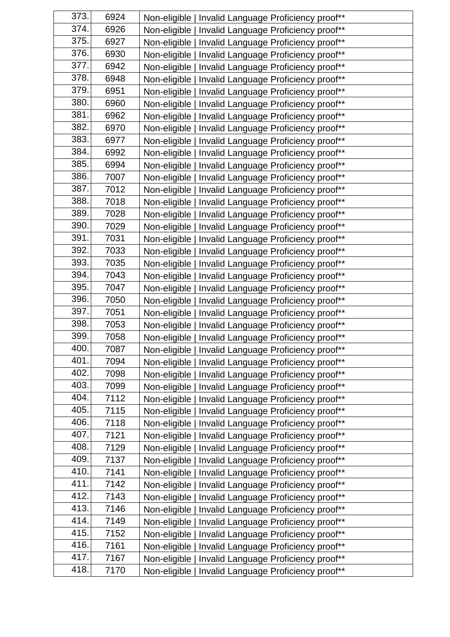| 373. | 6924 | Non-eligible   Invalid Language Proficiency proof** |
|------|------|-----------------------------------------------------|
| 374. | 6926 | Non-eligible   Invalid Language Proficiency proof** |
| 375. | 6927 | Non-eligible   Invalid Language Proficiency proof** |
| 376. | 6930 | Non-eligible   Invalid Language Proficiency proof** |
| 377. | 6942 | Non-eligible   Invalid Language Proficiency proof** |
| 378. | 6948 | Non-eligible   Invalid Language Proficiency proof** |
| 379. | 6951 | Non-eligible   Invalid Language Proficiency proof** |
| 380. | 6960 | Non-eligible   Invalid Language Proficiency proof** |
| 381. | 6962 | Non-eligible   Invalid Language Proficiency proof** |
| 382. | 6970 | Non-eligible   Invalid Language Proficiency proof** |
| 383. | 6977 | Non-eligible   Invalid Language Proficiency proof** |
| 384. | 6992 | Non-eligible   Invalid Language Proficiency proof** |
| 385. | 6994 | Non-eligible   Invalid Language Proficiency proof** |
| 386. | 7007 | Non-eligible   Invalid Language Proficiency proof** |
| 387. | 7012 | Non-eligible   Invalid Language Proficiency proof** |
| 388. | 7018 | Non-eligible   Invalid Language Proficiency proof** |
| 389. | 7028 | Non-eligible   Invalid Language Proficiency proof** |
| 390. | 7029 | Non-eligible   Invalid Language Proficiency proof** |
| 391. | 7031 | Non-eligible   Invalid Language Proficiency proof** |
| 392. | 7033 | Non-eligible   Invalid Language Proficiency proof** |
| 393. | 7035 | Non-eligible   Invalid Language Proficiency proof** |
| 394. | 7043 | Non-eligible   Invalid Language Proficiency proof** |
| 395. | 7047 | Non-eligible   Invalid Language Proficiency proof** |
| 396. | 7050 | Non-eligible   Invalid Language Proficiency proof** |
| 397. | 7051 | Non-eligible   Invalid Language Proficiency proof** |
| 398. | 7053 | Non-eligible   Invalid Language Proficiency proof** |
| 399. | 7058 | Non-eligible   Invalid Language Proficiency proof** |
| 400. | 7087 | Non-eligible   Invalid Language Proficiency proof** |
| 401. | 7094 | Non-eligible   Invalid Language Proficiency proof** |
| 402. | 7098 | Non-eligible   Invalid Language Proficiency proof** |
| 403. | 7099 | Non-eligible   Invalid Language Proficiency proof** |
| 404. | 7112 | Non-eligible   Invalid Language Proficiency proof** |
| 405. | 7115 | Non-eligible   Invalid Language Proficiency proof** |
| 406. | 7118 | Non-eligible   Invalid Language Proficiency proof** |
| 407. | 7121 | Non-eligible   Invalid Language Proficiency proof** |
| 408. | 7129 | Non-eligible   Invalid Language Proficiency proof** |
| 409. | 7137 | Non-eligible   Invalid Language Proficiency proof** |
| 410. | 7141 | Non-eligible   Invalid Language Proficiency proof** |
| 411. | 7142 | Non-eligible   Invalid Language Proficiency proof** |
| 412. | 7143 | Non-eligible   Invalid Language Proficiency proof** |
| 413. | 7146 | Non-eligible   Invalid Language Proficiency proof** |
| 414. | 7149 | Non-eligible   Invalid Language Proficiency proof** |
| 415. | 7152 | Non-eligible   Invalid Language Proficiency proof** |
| 416. | 7161 | Non-eligible   Invalid Language Proficiency proof** |
| 417. | 7167 | Non-eligible   Invalid Language Proficiency proof** |
| 418. | 7170 | Non-eligible   Invalid Language Proficiency proof** |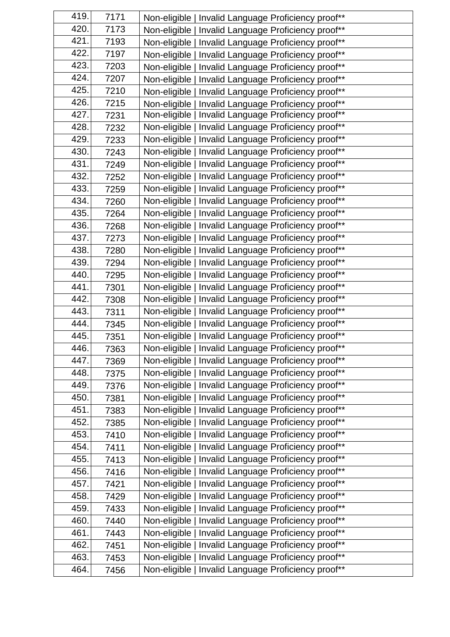| 419. | 7171 | Non-eligible   Invalid Language Proficiency proof**  |
|------|------|------------------------------------------------------|
| 420. | 7173 | Non-eligible   Invalid Language Proficiency proof**  |
| 421. | 7193 | Non-eligible   Invalid Language Proficiency proof**  |
| 422. | 7197 | Non-eligible   Invalid Language Proficiency proof**  |
| 423. | 7203 | Non-eligible   Invalid Language Proficiency proof**  |
| 424. | 7207 | Non-eligible   Invalid Language Proficiency proof**  |
| 425. | 7210 | Non-eligible   Invalid Language Proficiency proof**  |
| 426. | 7215 | Non-eligible   Invalid Language Proficiency proof**  |
| 427. | 7231 | Non-eligible   Invalid Language Proficiency proof**  |
| 428. | 7232 | Non-eligible   Invalid Language Proficiency proof**  |
| 429. | 7233 | Non-eligible   Invalid Language Proficiency proof**  |
| 430. | 7243 | Non-eligible   Invalid Language Proficiency proof**  |
| 431. | 7249 | Non-eligible   Invalid Language Proficiency proof**  |
| 432. | 7252 | Non-eligible   Invalid Language Proficiency proof**  |
| 433. | 7259 | Non-eligible   Invalid Language Proficiency proof**  |
| 434. | 7260 | Non-eligible   Invalid Language Proficiency proof**  |
| 435. | 7264 | Non-eligible   Invalid Language Proficiency proof**  |
| 436. | 7268 | Non-eligible   Invalid Language Proficiency proof**  |
| 437. | 7273 | Non-eligible   Invalid Language Proficiency proof**  |
| 438. | 7280 | Non-eligible   Invalid Language Proficiency proof**  |
| 439. | 7294 | Non-eligible   Invalid Language Proficiency proof**  |
| 440. | 7295 | Non-eligible   Invalid Language Proficiency proof**  |
| 441. | 7301 | Non-eligible   Invalid Language Proficiency proof**  |
| 442. | 7308 | Non-eligible   Invalid Language Proficiency proof**  |
| 443. | 7311 | Non-eligible   Invalid Language Proficiency proof**  |
| 444. | 7345 | Non-eligible   Invalid Language Proficiency proof**  |
| 445. | 7351 | Non-eligible   Invalid Language Proficiency proof**  |
| 446. | 7363 | Non-eligible   Invalid Language Proficiency proof**  |
| 447. | 7369 | Non-eligible   Invalid Language Proficiency proof**  |
| 448. | 7375 | Non-eligible   Invalid Language Proficiency proof**  |
| 449. | 7376 | Non-eligible   Invalid Language Proficiency proof**  |
| 450. | 7381 | Non-eligible   Invalid Language Proficiency proof**  |
| 451. | 7383 | Non-eligible   Invalid Language Proficiency proof**  |
| 452. | 7385 | Non-eligible   Invalid Language Proficiency proof**  |
| 453. | 7410 | Non-eligible   Invalid Language Proficiency proof**  |
| 454. | 7411 | Non-eligible   Invalid Language Proficiency proof**  |
| 455. | 7413 | Invalid Language Proficiency proof**<br>Non-eligible |
| 456. | 7416 | Non-eligible   Invalid Language Proficiency proof**  |
| 457. | 7421 | Non-eligible   Invalid Language Proficiency proof**  |
| 458. | 7429 | Non-eligible   Invalid Language Proficiency proof**  |
| 459. | 7433 | Non-eligible   Invalid Language Proficiency proof**  |
| 460. | 7440 | Non-eligible   Invalid Language Proficiency proof**  |
| 461. | 7443 | Non-eligible   Invalid Language Proficiency proof**  |
| 462. | 7451 | Non-eligible   Invalid Language Proficiency proof**  |
| 463. | 7453 | Non-eligible   Invalid Language Proficiency proof**  |
| 464. | 7456 | Non-eligible   Invalid Language Proficiency proof**  |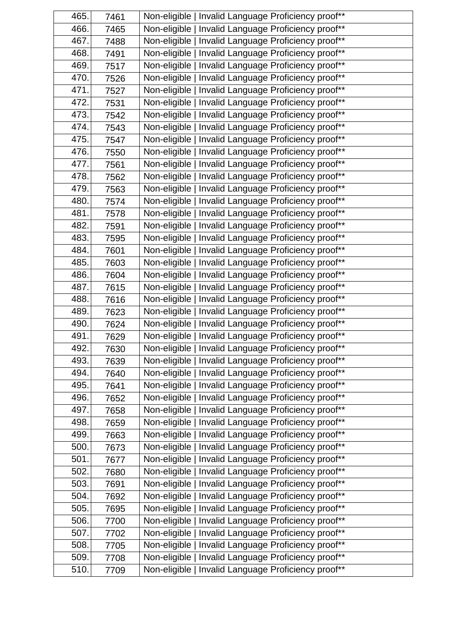| 465. | 7461 | Non-eligible   Invalid Language Proficiency proof**  |
|------|------|------------------------------------------------------|
| 466. | 7465 | Non-eligible   Invalid Language Proficiency proof**  |
| 467. | 7488 | Non-eligible   Invalid Language Proficiency proof**  |
| 468. | 7491 | Non-eligible   Invalid Language Proficiency proof**  |
| 469. | 7517 | Non-eligible   Invalid Language Proficiency proof**  |
| 470. | 7526 | Non-eligible   Invalid Language Proficiency proof**  |
| 471. | 7527 | Non-eligible   Invalid Language Proficiency proof**  |
| 472. | 7531 | Non-eligible   Invalid Language Proficiency proof**  |
| 473. | 7542 | Non-eligible   Invalid Language Proficiency proof**  |
| 474. | 7543 | Non-eligible   Invalid Language Proficiency proof**  |
| 475. | 7547 | Non-eligible   Invalid Language Proficiency proof**  |
| 476. | 7550 | Non-eligible   Invalid Language Proficiency proof**  |
| 477. | 7561 | Non-eligible   Invalid Language Proficiency proof**  |
| 478. | 7562 | Non-eligible   Invalid Language Proficiency proof**  |
| 479. | 7563 | Non-eligible   Invalid Language Proficiency proof**  |
| 480. | 7574 | Non-eligible   Invalid Language Proficiency proof**  |
| 481. | 7578 | Non-eligible   Invalid Language Proficiency proof**  |
| 482. | 7591 | Non-eligible   Invalid Language Proficiency proof**  |
| 483. | 7595 | Non-eligible   Invalid Language Proficiency proof**  |
| 484. | 7601 | Non-eligible   Invalid Language Proficiency proof**  |
| 485. | 7603 | Non-eligible   Invalid Language Proficiency proof**  |
| 486. | 7604 | Non-eligible   Invalid Language Proficiency proof**  |
| 487. | 7615 | Non-eligible   Invalid Language Proficiency proof**  |
| 488. | 7616 | Non-eligible   Invalid Language Proficiency proof**  |
| 489. | 7623 | Non-eligible   Invalid Language Proficiency proof**  |
| 490. | 7624 | Non-eligible   Invalid Language Proficiency proof**  |
| 491. | 7629 | Non-eligible   Invalid Language Proficiency proof**  |
| 492. | 7630 | Non-eligible   Invalid Language Proficiency proof**  |
| 493. | 7639 | Non-eligible   Invalid Language Proficiency proof**  |
| 494. | 7640 | Non-eligible   Invalid Language Proficiency proof**  |
| 495. | 7641 | Non-eligible   Invalid Language Proficiency proof**  |
| 496. | 7652 | Non-eligible   Invalid Language Proficiency proof**  |
| 497. | 7658 | Non-eligible   Invalid Language Proficiency proof**  |
| 498. | 7659 | Non-eligible   Invalid Language Proficiency proof**  |
| 499. | 7663 | Non-eligible   Invalid Language Proficiency proof**  |
| 500. | 7673 | Non-eligible   Invalid Language Proficiency proof**  |
| 501. | 7677 | Invalid Language Proficiency proof**<br>Non-eligible |
| 502. | 7680 | Non-eligible   Invalid Language Proficiency proof**  |
| 503. | 7691 | Non-eligible   Invalid Language Proficiency proof**  |
| 504. | 7692 | Non-eligible   Invalid Language Proficiency proof**  |
| 505. | 7695 | Non-eligible   Invalid Language Proficiency proof**  |
| 506. | 7700 | Non-eligible   Invalid Language Proficiency proof**  |
| 507. | 7702 | Non-eligible   Invalid Language Proficiency proof**  |
| 508. | 7705 | Non-eligible   Invalid Language Proficiency proof**  |
| 509. | 7708 | Non-eligible   Invalid Language Proficiency proof**  |
| 510. | 7709 | Non-eligible   Invalid Language Proficiency proof**  |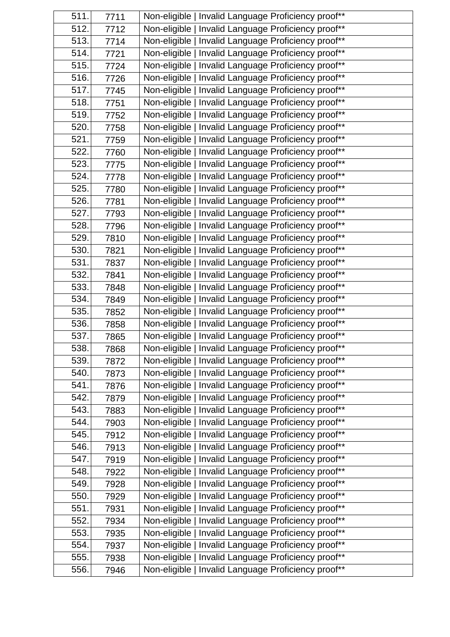| 511. | 7711 | Non-eligible   Invalid Language Proficiency proof** |
|------|------|-----------------------------------------------------|
| 512. | 7712 | Non-eligible   Invalid Language Proficiency proof** |
| 513. | 7714 | Non-eligible   Invalid Language Proficiency proof** |
| 514. | 7721 | Non-eligible   Invalid Language Proficiency proof** |
| 515. | 7724 | Non-eligible   Invalid Language Proficiency proof** |
| 516. | 7726 | Non-eligible   Invalid Language Proficiency proof** |
| 517. | 7745 | Non-eligible   Invalid Language Proficiency proof** |
| 518. | 7751 | Non-eligible   Invalid Language Proficiency proof** |
| 519. | 7752 | Non-eligible   Invalid Language Proficiency proof** |
| 520. | 7758 | Non-eligible   Invalid Language Proficiency proof** |
| 521. | 7759 | Non-eligible   Invalid Language Proficiency proof** |
| 522. | 7760 | Non-eligible   Invalid Language Proficiency proof** |
| 523. | 7775 | Non-eligible   Invalid Language Proficiency proof** |
| 524. | 7778 | Non-eligible   Invalid Language Proficiency proof** |
| 525. | 7780 | Non-eligible   Invalid Language Proficiency proof** |
| 526. | 7781 | Non-eligible   Invalid Language Proficiency proof** |
| 527. | 7793 | Non-eligible   Invalid Language Proficiency proof** |
| 528. | 7796 | Non-eligible   Invalid Language Proficiency proof** |
| 529. | 7810 | Non-eligible   Invalid Language Proficiency proof** |
| 530. | 7821 | Non-eligible   Invalid Language Proficiency proof** |
| 531. | 7837 | Non-eligible   Invalid Language Proficiency proof** |
| 532. | 7841 | Non-eligible   Invalid Language Proficiency proof** |
| 533. | 7848 | Non-eligible   Invalid Language Proficiency proof** |
| 534. | 7849 | Non-eligible   Invalid Language Proficiency proof** |
| 535. | 7852 | Non-eligible   Invalid Language Proficiency proof** |
| 536. | 7858 | Non-eligible   Invalid Language Proficiency proof** |
| 537. | 7865 | Non-eligible   Invalid Language Proficiency proof** |
| 538. | 7868 | Non-eligible   Invalid Language Proficiency proof** |
| 539. | 7872 | Non-eligible   Invalid Language Proficiency proof** |
| 540. | 7873 | Non-eligible   Invalid Language Proficiency proof** |
| 541. | 7876 | Non-eligible   Invalid Language Proficiency proof** |
| 542. | 7879 | Non-eligible   Invalid Language Proficiency proof** |
| 543. | 7883 | Non-eligible   Invalid Language Proficiency proof** |
| 544. | 7903 | Non-eligible   Invalid Language Proficiency proof** |
| 545. | 7912 | Non-eligible   Invalid Language Proficiency proof** |
| 546. | 7913 | Non-eligible   Invalid Language Proficiency proof** |
| 547. | 7919 | Non-eligible   Invalid Language Proficiency proof** |
| 548. | 7922 | Non-eligible   Invalid Language Proficiency proof** |
| 549. | 7928 | Non-eligible   Invalid Language Proficiency proof** |
| 550. | 7929 | Non-eligible   Invalid Language Proficiency proof** |
| 551. | 7931 | Non-eligible   Invalid Language Proficiency proof** |
| 552. | 7934 | Non-eligible   Invalid Language Proficiency proof** |
| 553. | 7935 | Non-eligible   Invalid Language Proficiency proof** |
| 554. | 7937 | Non-eligible   Invalid Language Proficiency proof** |
| 555. | 7938 | Non-eligible   Invalid Language Proficiency proof** |
| 556. | 7946 | Non-eligible   Invalid Language Proficiency proof** |